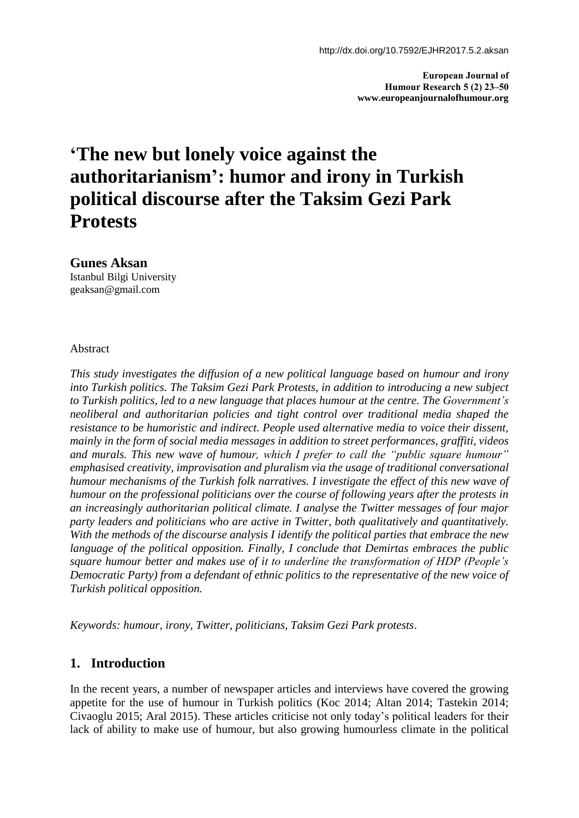**European Journal of Humour Research 5 (2) 23–50 www.europeanjournalofhumour.org**

# **'The new but lonely voice against the authoritarianism': humor and irony in Turkish political discourse after the Taksim Gezi Park Protests**

**Gunes Aksan** Istanbul Bilgi University

geaksan@gmail.com

Abstract

*This study investigates the diffusion of a new political language based on humour and irony into Turkish politics. The Taksim Gezi Park Protests, in addition to introducing a new subject to Turkish politics, led to a new language that places humour at the centre. The Government's neoliberal and authoritarian policies and tight control over traditional media shaped the resistance to be humoristic and indirect. People used alternative media to voice their dissent, mainly in the form of social media messages in addition to street performances, graffiti, videos and murals. This new wave of humour, which I prefer to call the "public square humour" emphasised creativity, improvisation and pluralism via the usage of traditional conversational humour mechanisms of the Turkish folk narratives. I investigate the effect of this new wave of humour on the professional politicians over the course of following years after the protests in an increasingly authoritarian political climate. I analyse the Twitter messages of four major party leaders and politicians who are active in Twitter, both qualitatively and quantitatively. With the methods of the discourse analysis I identify the political parties that embrace the new language of the political opposition. Finally, I conclude that Demirtas embraces the public square humour better and makes use of it to underline the transformation of HDP (People's Democratic Party) from a defendant of ethnic politics to the representative of the new voice of Turkish political opposition.*

*Keywords: humour, irony, Twitter, politicians, Taksim Gezi Park protests*.

## **1. Introduction**

In the recent years, a number of newspaper articles and interviews have covered the growing appetite for the use of humour in Turkish politics (Koc 2014; Altan 2014; Tastekin 2014; Civaoglu 2015; Aral 2015). These articles criticise not only today's political leaders for their lack of ability to make use of humour, but also growing humourless climate in the political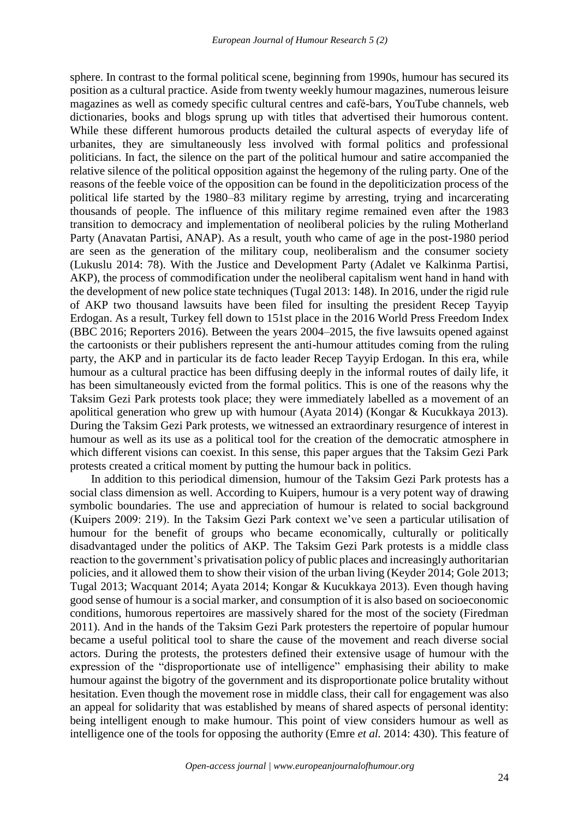sphere. In contrast to the formal political scene, beginning from 1990s, humour has secured its position as a cultural practice. Aside from twenty weekly humour magazines, numerous leisure magazines as well as comedy specific cultural centres and café-bars, YouTube channels, web dictionaries, books and blogs sprung up with titles that advertised their humorous content. While these different humorous products detailed the cultural aspects of everyday life of urbanites, they are simultaneously less involved with formal politics and professional politicians. In fact, the silence on the part of the political humour and satire accompanied the relative silence of the political opposition against the hegemony of the ruling party. One of the reasons of the feeble voice of the opposition can be found in the depoliticization process of the political life started by the 1980–83 military regime by arresting, trying and incarcerating thousands of people. The influence of this military regime remained even after the 1983 transition to democracy and implementation of neoliberal policies by the ruling Motherland Party (Anavatan Partisi, ANAP). As a result, youth who came of age in the post-1980 period are seen as the generation of the military coup, neoliberalism and the consumer society (Lukuslu 2014: 78). With the Justice and Development Party (Adalet ve Kalkinma Partisi, AKP), the process of commodification under the neoliberal capitalism went hand in hand with the development of new police state techniques (Tugal 2013: 148). In 2016, under the rigid rule of AKP two thousand lawsuits have been filed for insulting the president Recep Tayyip Erdogan. As a result, Turkey fell down to 151st place in the 2016 World Press Freedom Index (BBC 2016; Reporters 2016). Between the years 2004–2015, the five lawsuits opened against the cartoonists or their publishers represent the anti-humour attitudes coming from the ruling party, the AKP and in particular its de facto leader Recep Tayyip Erdogan. In this era, while humour as a cultural practice has been diffusing deeply in the informal routes of daily life, it has been simultaneously evicted from the formal politics. This is one of the reasons why the Taksim Gezi Park protests took place; they were immediately labelled as a movement of an apolitical generation who grew up with humour (Ayata 2014) (Kongar & Kucukkaya 2013). During the Taksim Gezi Park protests, we witnessed an extraordinary resurgence of interest in humour as well as its use as a political tool for the creation of the democratic atmosphere in which different visions can coexist. In this sense, this paper argues that the Taksim Gezi Park protests created a critical moment by putting the humour back in politics.

In addition to this periodical dimension, humour of the Taksim Gezi Park protests has a social class dimension as well. According to Kuipers, humour is a very potent way of drawing symbolic boundaries. The use and appreciation of humour is related to social background (Kuipers 2009: 219). In the Taksim Gezi Park context we've seen a particular utilisation of humour for the benefit of groups who became economically, culturally or politically disadvantaged under the politics of AKP. The Taksim Gezi Park protests is a middle class reaction to the government's privatisation policy of public places and increasingly authoritarian policies, and it allowed them to show their vision of the urban living (Keyder 2014; Gole 2013; Tugal 2013; Wacquant 2014; Ayata 2014; Kongar & Kucukkaya 2013). Even though having good sense of humour is a social marker, and consumption of it is also based on socioeconomic conditions, humorous repertoires are massively shared for the most of the society (Firedman 2011). And in the hands of the Taksim Gezi Park protesters the repertoire of popular humour became a useful political tool to share the cause of the movement and reach diverse social actors. During the protests, the protesters defined their extensive usage of humour with the expression of the "disproportionate use of intelligence" emphasising their ability to make humour against the bigotry of the government and its disproportionate police brutality without hesitation. Even though the movement rose in middle class, their call for engagement was also an appeal for solidarity that was established by means of shared aspects of personal identity: being intelligent enough to make humour. This point of view considers humour as well as intelligence one of the tools for opposing the authority (Emre *et al.* 2014: 430). This feature of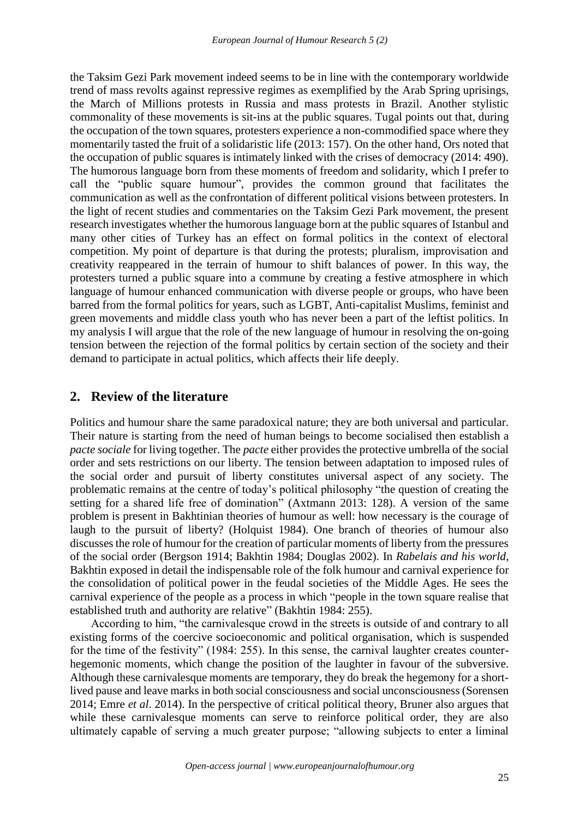the Taksim Gezi Park movement indeed seems to be in line with the contemporary worldwide trend of mass revolts against repressive regimes as exemplified by the Arab Spring uprisings, the March of Millions protests in Russia and mass protests in Brazil. Another stylistic commonality of these movements is sit-ins at the public squares. Tugal points out that, during the occupation of the town squares, protesters experience a non-commodified space where they momentarily tasted the fruit of a solidaristic life (2013: 157). On the other hand, Ors noted that the occupation of public squares is intimately linked with the crises of democracy (2014: 490). The humorous language born from these moments of freedom and solidarity, which I prefer to call the "public square humour", provides the common ground that facilitates the communication as well as the confrontation of different political visions between protesters. In the light of recent studies and commentaries on the Taksim Gezi Park movement, the present research investigates whether the humorous language born at the public squares of Istanbul and many other cities of Turkey has an effect on formal politics in the context of electoral competition. My point of departure is that during the protests; pluralism, improvisation and creativity reappeared in the terrain of humour to shift balances of power. In this way, the protesters turned a public square into a commune by creating a festive atmosphere in which language of humour enhanced communication with diverse people or groups, who have been barred from the formal politics for years, such as LGBT, Anti-capitalist Muslims, feminist and green movements and middle class youth who has never been a part of the leftist politics. In my analysis I will argue that the role of the new language of humour in resolving the on-going tension between the rejection of the formal politics by certain section of the society and their demand to participate in actual politics, which affects their life deeply.

#### **2. Review of the literature**

Politics and humour share the same paradoxical nature; they are both universal and particular. Their nature is starting from the need of human beings to become socialised then establish a *pacte sociale* for living together. The *pacte* either provides the protective umbrella of the social order and sets restrictions on our liberty. The tension between adaptation to imposed rules of the social order and pursuit of liberty constitutes universal aspect of any society. The problematic remains at the centre of today's political philosophy "the question of creating the setting for a shared life free of domination" (Axtmann 2013: 128). A version of the same problem is present in Bakhtinian theories of humour as well: how necessary is the courage of laugh to the pursuit of liberty? (Holquist 1984). One branch of theories of humour also discusses the role of humour for the creation of particular moments of liberty from the pressures of the social order (Bergson 1914; Bakhtin 1984; Douglas 2002). In *Rabelais and his world*, Bakhtin exposed in detail the indispensable role of the folk humour and carnival experience for the consolidation of political power in the feudal societies of the Middle Ages. He sees the carnival experience of the people as a process in which "people in the town square realise that established truth and authority are relative" (Bakhtin 1984: 255).

According to him, "the carnivalesque crowd in the streets is outside of and contrary to all existing forms of the coercive socioeconomic and political organisation, which is suspended for the time of the festivity" (1984: 255). In this sense, the carnival laughter creates counterhegemonic moments, which change the position of the laughter in favour of the subversive. Although these carnivalesque moments are temporary, they do break the hegemony for a shortlived pause and leave marks in both social consciousness and social unconsciousness (Sorensen 2014; Emre *et al*. 2014). In the perspective of critical political theory, Bruner also argues that while these carnivalesque moments can serve to reinforce political order, they are also ultimately capable of serving a much greater purpose; "allowing subjects to enter a liminal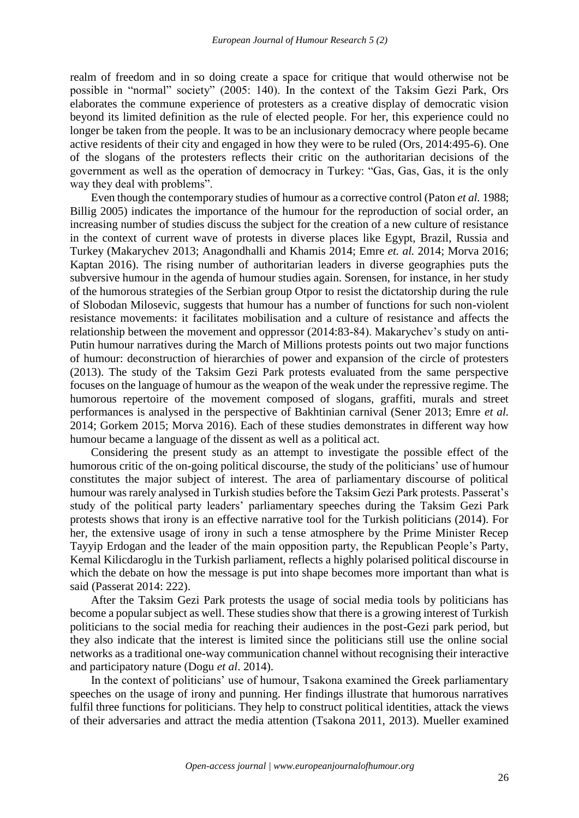realm of freedom and in so doing create a space for critique that would otherwise not be possible in "normal" society" (2005: 140). In the context of the Taksim Gezi Park, Ors elaborates the commune experience of protesters as a creative display of democratic vision beyond its limited definition as the rule of elected people. For her, this experience could no longer be taken from the people. It was to be an inclusionary democracy where people became active residents of their city and engaged in how they were to be ruled (Ors, 2014:495-6). One of the slogans of the protesters reflects their critic on the authoritarian decisions of the government as well as the operation of democracy in Turkey: "Gas, Gas, Gas, it is the only way they deal with problems".

Even though the contemporary studies of humour as a corrective control (Paton *et al.* 1988; Billig 2005) indicates the importance of the humour for the reproduction of social order, an increasing number of studies discuss the subject for the creation of a new culture of resistance in the context of current wave of protests in diverse places like Egypt, Brazil, Russia and Turkey (Makarychev 2013; Anagondhalli and Khamis 2014; Emre *et. al.* 2014; Morva 2016; Kaptan 2016). The rising number of authoritarian leaders in diverse geographies puts the subversive humour in the agenda of humour studies again. Sorensen, for instance, in her study of the humorous strategies of the Serbian group Otpor to resist the dictatorship during the rule of Slobodan Milosevic, suggests that humour has a number of functions for such non-violent resistance movements: it facilitates mobilisation and a culture of resistance and affects the relationship between the movement and oppressor (2014:83-84). Makarychev's study on anti-Putin humour narratives during the March of Millions protests points out two major functions of humour: deconstruction of hierarchies of power and expansion of the circle of protesters (2013). The study of the Taksim Gezi Park protests evaluated from the same perspective focuses on the language of humour as the weapon of the weak under the repressive regime. The humorous repertoire of the movement composed of slogans, graffiti, murals and street performances is analysed in the perspective of Bakhtinian carnival (Sener 2013; Emre *et al.* 2014; Gorkem 2015; Morva 2016). Each of these studies demonstrates in different way how humour became a language of the dissent as well as a political act.

Considering the present study as an attempt to investigate the possible effect of the humorous critic of the on-going political discourse, the study of the politicians' use of humour constitutes the major subject of interest. The area of parliamentary discourse of political humour was rarely analysed in Turkish studies before the Taksim Gezi Park protests. Passerat's study of the political party leaders' parliamentary speeches during the Taksim Gezi Park protests shows that irony is an effective narrative tool for the Turkish politicians (2014). For her, the extensive usage of irony in such a tense atmosphere by the Prime Minister Recep Tayyip Erdogan and the leader of the main opposition party, the Republican People's Party, Kemal Kilicdaroglu in the Turkish parliament, reflects a highly polarised political discourse in which the debate on how the message is put into shape becomes more important than what is said (Passerat 2014: 222).

After the Taksim Gezi Park protests the usage of social media tools by politicians has become a popular subject as well. These studies show that there is a growing interest of Turkish politicians to the social media for reaching their audiences in the post-Gezi park period, but they also indicate that the interest is limited since the politicians still use the online social networks as a traditional one-way communication channel without recognising their interactive and participatory nature (Dogu *et al*. 2014).

In the context of politicians' use of humour, Tsakona examined the Greek parliamentary speeches on the usage of irony and punning. Her findings illustrate that humorous narratives fulfil three functions for politicians. They help to construct political identities, attack the views of their adversaries and attract the media attention (Tsakona 2011, 2013). Mueller examined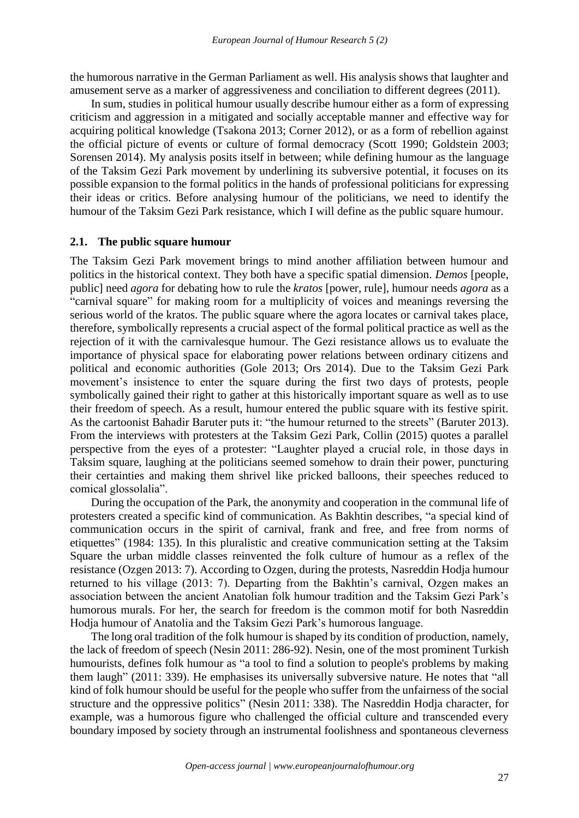the humorous narrative in the German Parliament as well. His analysis shows that laughter and amusement serve as a marker of aggressiveness and conciliation to different degrees (2011).

In sum, studies in political humour usually describe humour either as a form of expressing criticism and aggression in a mitigated and socially acceptable manner and effective way for acquiring political knowledge (Tsakona 2013; Corner 2012), or as a form of rebellion against the official picture of events or culture of formal democracy (Scott 1990; Goldstein 2003; Sorensen 2014). My analysis posits itself in between; while defining humour as the language of the Taksim Gezi Park movement by underlining its subversive potential, it focuses on its possible expansion to the formal politics in the hands of professional politicians for expressing their ideas or critics. Before analysing humour of the politicians, we need to identify the humour of the Taksim Gezi Park resistance, which I will define as the public square humour.

#### **2.1. The public square humour**

The Taksim Gezi Park movement brings to mind another affiliation between humour and politics in the historical context. They both have a specific spatial dimension. *Demos* [people, public] need *agora* for debating how to rule the *kratos* [power, rule], humour needs *agora* as a "carnival square" for making room for a multiplicity of voices and meanings reversing the serious world of the kratos. The public square where the agora locates or carnival takes place, therefore, symbolically represents a crucial aspect of the formal political practice as well as the rejection of it with the carnivalesque humour. The Gezi resistance allows us to evaluate the importance of physical space for elaborating power relations between ordinary citizens and political and economic authorities (Gole 2013; Ors 2014). Due to the Taksim Gezi Park movement's insistence to enter the square during the first two days of protests, people symbolically gained their right to gather at this historically important square as well as to use their freedom of speech. As a result, humour entered the public square with its festive spirit. As the cartoonist Bahadir Baruter puts it: "the humour returned to the streets" (Baruter 2013). From the interviews with protesters at the Taksim Gezi Park, Collin (2015) quotes a parallel perspective from the eyes of a protester: "Laughter played a crucial role, in those days in Taksim square, laughing at the politicians seemed somehow to drain their power, puncturing their certainties and making them shrivel like pricked balloons, their speeches reduced to comical glossolalia".

During the occupation of the Park, the anonymity and cooperation in the communal life of protesters created a specific kind of communication. As Bakhtin describes, "a special kind of communication occurs in the spirit of carnival, frank and free, and free from norms of etiquettes" (1984: 135). In this pluralistic and creative communication setting at the Taksim Square the urban middle classes reinvented the folk culture of humour as a reflex of the resistance (Ozgen 2013: 7). According to Ozgen, during the protests, Nasreddin Hodja humour returned to his village (2013: 7). Departing from the Bakhtin's carnival, Ozgen makes an association between the ancient Anatolian folk humour tradition and the Taksim Gezi Park's humorous murals. For her, the search for freedom is the common motif for both Nasreddin Hodja humour of Anatolia and the Taksim Gezi Park's humorous language.

The long oral tradition of the folk humour is shaped by its condition of production, namely, the lack of freedom of speech (Nesin 2011: 286-92). Nesin, one of the most prominent Turkish humourists, defines folk humour as "a tool to find a solution to people's problems by making them laugh" (2011: 339). He emphasises its universally subversive nature. He notes that "all kind of folk humour should be useful for the people who suffer from the unfairness of the social structure and the oppressive politics" (Nesin 2011: 338). The Nasreddin Hodja character, for example, was a humorous figure who challenged the official culture and transcended every boundary imposed by society through an instrumental foolishness and spontaneous cleverness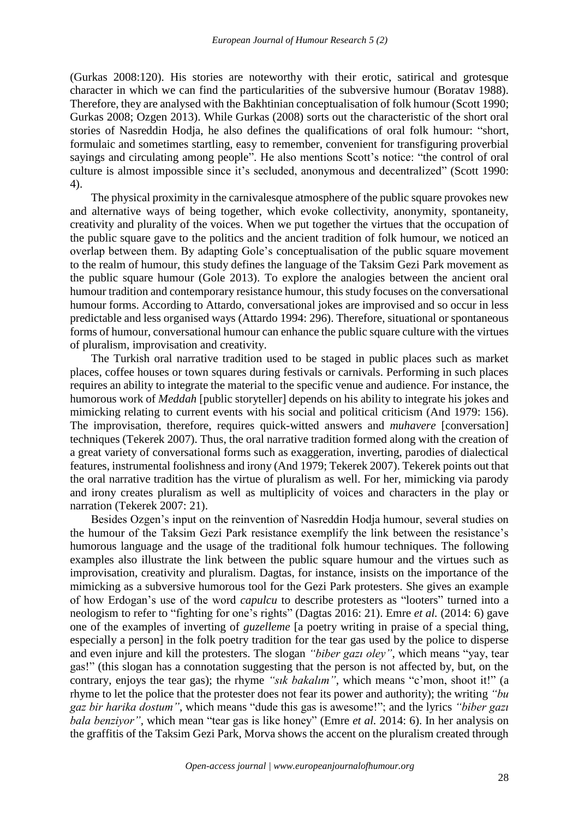(Gurkas 2008:120). His stories are noteworthy with their erotic, satirical and grotesque character in which we can find the particularities of the subversive humour (Boratav 1988). Therefore, they are analysed with the Bakhtinian conceptualisation of folk humour (Scott 1990; Gurkas 2008; Ozgen 2013). While Gurkas (2008) sorts out the characteristic of the short oral stories of Nasreddin Hodja, he also defines the qualifications of oral folk humour: "short, formulaic and sometimes startling, easy to remember, convenient for transfiguring proverbial sayings and circulating among people". He also mentions Scott's notice: "the control of oral culture is almost impossible since it's secluded, anonymous and decentralized" (Scott 1990: 4).

The physical proximity in the carnivalesque atmosphere of the public square provokes new and alternative ways of being together, which evoke collectivity, anonymity, spontaneity, creativity and plurality of the voices. When we put together the virtues that the occupation of the public square gave to the politics and the ancient tradition of folk humour, we noticed an overlap between them. By adapting Gole's conceptualisation of the public square movement to the realm of humour, this study defines the language of the Taksim Gezi Park movement as the public square humour (Gole 2013). To explore the analogies between the ancient oral humour tradition and contemporary resistance humour, this study focuses on the conversational humour forms. According to Attardo, conversational jokes are improvised and so occur in less predictable and less organised ways (Attardo 1994: 296). Therefore, situational or spontaneous forms of humour, conversational humour can enhance the public square culture with the virtues of pluralism, improvisation and creativity.

The Turkish oral narrative tradition used to be staged in public places such as market places, coffee houses or town squares during festivals or carnivals. Performing in such places requires an ability to integrate the material to the specific venue and audience. For instance, the humorous work of *Meddah* [public storyteller] depends on his ability to integrate his jokes and mimicking relating to current events with his social and political criticism (And 1979: 156). The improvisation, therefore, requires quick-witted answers and *muhavere* [conversation] techniques (Tekerek 2007). Thus, the oral narrative tradition formed along with the creation of a great variety of conversational forms such as exaggeration, inverting, parodies of dialectical features, instrumental foolishness and irony (And 1979; Tekerek 2007). Tekerek points out that the oral narrative tradition has the virtue of pluralism as well. For her, mimicking via parody and irony creates pluralism as well as multiplicity of voices and characters in the play or narration (Tekerek 2007: 21).

Besides Ozgen's input on the reinvention of Nasreddin Hodja humour, several studies on the humour of the Taksim Gezi Park resistance exemplify the link between the resistance's humorous language and the usage of the traditional folk humour techniques. The following examples also illustrate the link between the public square humour and the virtues such as improvisation, creativity and pluralism. Dagtas, for instance, insists on the importance of the mimicking as a subversive humorous tool for the Gezi Park protesters. She gives an example of how Erdogan's use of the word *capulcu* to describe protesters as "looters" turned into a neologism to refer to "fighting for one's rights" (Dagtas 2016: 21). Emre *et al.* (2014: 6) gave one of the examples of inverting of *guzelleme* [a poetry writing in praise of a special thing, especially a person] in the folk poetry tradition for the tear gas used by the police to disperse and even injure and kill the protesters. The slogan *"biber gazı oley"*, which means "yay, tear gas!" (this slogan has a connotation suggesting that the person is not affected by, but, on the contrary, enjoys the tear gas); the rhyme *"sık bakalım"*, which means "c'mon, shoot it!" (a rhyme to let the police that the protester does not fear its power and authority); the writing *"bu gaz bir harika dostum"*, which means "dude this gas is awesome!"; and the lyrics *"biber gazı bala benziyor",* which mean "tear gas is like honey" (Emre *et al.* 2014: 6). In her analysis on the graffitis of the Taksim Gezi Park, Morva shows the accent on the pluralism created through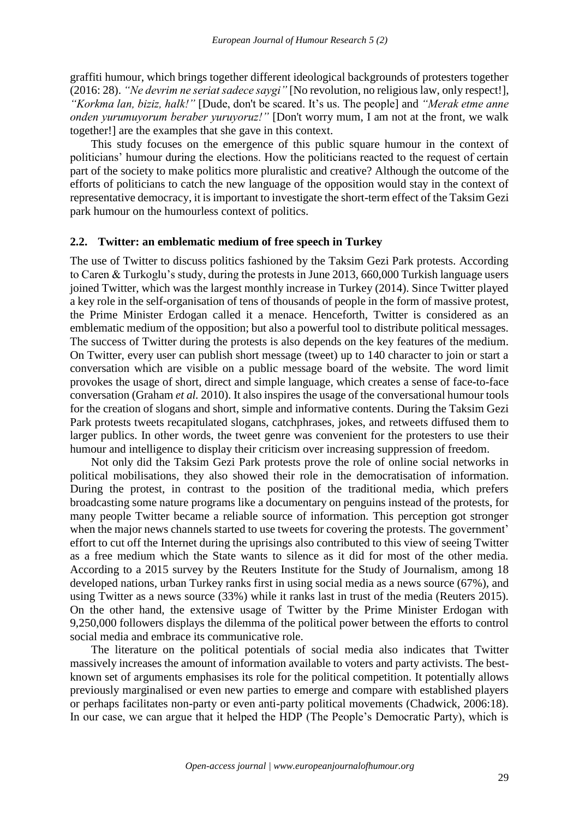graffiti humour, which brings together different ideological backgrounds of protesters together (2016: 28). *"Ne devrim ne seriat sadece saygi"* [No revolution, no religious law, only respect!], *"Korkma lan, biziz, halk!"* [Dude, don't be scared. It's us. The people] and *"Merak etme anne onden yurumuyorum beraber yuruyoruz!"* [Don't worry mum, I am not at the front, we walk together!] are the examples that she gave in this context.

This study focuses on the emergence of this public square humour in the context of politicians' humour during the elections. How the politicians reacted to the request of certain part of the society to make politics more pluralistic and creative? Although the outcome of the efforts of politicians to catch the new language of the opposition would stay in the context of representative democracy, it is important to investigate the short-term effect of the Taksim Gezi park humour on the humourless context of politics.

#### **2.2. Twitter: an emblematic medium of free speech in Turkey**

The use of Twitter to discuss politics fashioned by the Taksim Gezi Park protests. According to Caren & Turkoglu's study, during the protests in June 2013, 660,000 Turkish language users joined Twitter, which was the largest monthly increase in Turkey (2014). Since Twitter played a key role in the self-organisation of tens of thousands of people in the form of massive protest, the Prime Minister Erdogan called it a menace. Henceforth, Twitter is considered as an emblematic medium of the opposition; but also a powerful tool to distribute political messages. The success of Twitter during the protests is also depends on the key features of the medium. On Twitter, every user can publish short message (tweet) up to 140 character to join or start a conversation which are visible on a public message board of the website. The word limit provokes the usage of short, direct and simple language, which creates a sense of face-to-face conversation (Graham *et al.* 2010). It also inspires the usage of the conversational humour tools for the creation of slogans and short, simple and informative contents. During the Taksim Gezi Park protests tweets recapitulated slogans, catchphrases, jokes, and retweets diffused them to larger publics. In other words, the tweet genre was convenient for the protesters to use their humour and intelligence to display their criticism over increasing suppression of freedom.

Not only did the Taksim Gezi Park protests prove the role of online social networks in political mobilisations, they also showed their role in the democratisation of information. During the protest, in contrast to the position of the traditional media, which prefers broadcasting some nature programs like a documentary on penguins instead of the protests, for many people Twitter became a reliable source of information. This perception got stronger when the major news channels started to use tweets for covering the protests. The government' effort to cut off the Internet during the uprisings also contributed to this view of seeing Twitter as a free medium which the State wants to silence as it did for most of the other media. According to a 2015 survey by the Reuters Institute for the Study of Journalism, among 18 developed nations, urban Turkey ranks first in using social media as a news source (67%), and using Twitter as a news source (33%) while it ranks last in trust of the media (Reuters 2015). On the other hand, the extensive usage of Twitter by the Prime Minister Erdogan with 9,250,000 followers displays the dilemma of the political power between the efforts to control social media and embrace its communicative role.

The literature on the political potentials of social media also indicates that Twitter massively increases the amount of information available to voters and party activists. The bestknown set of arguments emphasises its role for the political competition. It potentially allows previously marginalised or even new parties to emerge and compare with established players or perhaps facilitates non-party or even anti-party political movements (Chadwick, 2006:18). In our case, we can argue that it helped the HDP (The People's Democratic Party), which is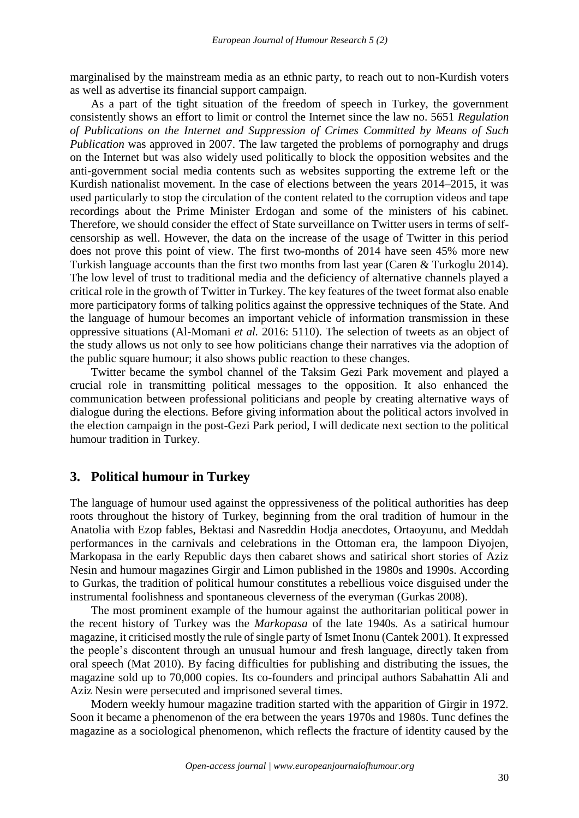marginalised by the mainstream media as an ethnic party, to reach out to non-Kurdish voters as well as advertise its financial support campaign.

As a part of the tight situation of the freedom of speech in Turkey, the government consistently shows an effort to limit or control the Internet since the law no. 5651 *Regulation of Publications on the Internet and Suppression of Crimes Committed by Means of Such Publication* was approved in 2007. The law targeted the problems of pornography and drugs on the Internet but was also widely used politically to block the opposition websites and the anti-government social media contents such as websites supporting the extreme left or the Kurdish nationalist movement. In the case of elections between the years 2014–2015, it was used particularly to stop the circulation of the content related to the corruption videos and tape recordings about the Prime Minister Erdogan and some of the ministers of his cabinet. Therefore, we should consider the effect of State surveillance on Twitter users in terms of selfcensorship as well. However, the data on the increase of the usage of Twitter in this period does not prove this point of view. The first two-months of 2014 have seen 45% more new Turkish language accounts than the first two months from last year (Caren & Turkoglu 2014). The low level of trust to traditional media and the deficiency of alternative channels played a critical role in the growth of Twitter in Turkey. The key features of the tweet format also enable more participatory forms of talking politics against the oppressive techniques of the State. And the language of humour becomes an important vehicle of information transmission in these oppressive situations (Al-Momani *et al.* 2016: 5110). The selection of tweets as an object of the study allows us not only to see how politicians change their narratives via the adoption of the public square humour; it also shows public reaction to these changes.

Twitter became the symbol channel of the Taksim Gezi Park movement and played a crucial role in transmitting political messages to the opposition. It also enhanced the communication between professional politicians and people by creating alternative ways of dialogue during the elections. Before giving information about the political actors involved in the election campaign in the post-Gezi Park period, I will dedicate next section to the political humour tradition in Turkey.

### **3. Political humour in Turkey**

The language of humour used against the oppressiveness of the political authorities has deep roots throughout the history of Turkey, beginning from the oral tradition of humour in the Anatolia with Ezop fables, Bektasi and Nasreddin Hodja anecdotes, Ortaoyunu, and Meddah performances in the carnivals and celebrations in the Ottoman era, the lampoon Diyojen, Markopasa in the early Republic days then cabaret shows and satirical short stories of Aziz Nesin and humour magazines Girgir and Limon published in the 1980s and 1990s. According to Gurkas, the tradition of political humour constitutes a rebellious voice disguised under the instrumental foolishness and spontaneous cleverness of the everyman (Gurkas 2008).

The most prominent example of the humour against the authoritarian political power in the recent history of Turkey was the *Markopasa* of the late 1940s*.* As a satirical humour magazine, it criticised mostly the rule of single party of Ismet Inonu (Cantek 2001). It expressed the people's discontent through an unusual humour and fresh language, directly taken from oral speech (Mat 2010). By facing difficulties for publishing and distributing the issues, the magazine sold up to 70,000 copies. Its co-founders and principal authors Sabahattin Ali and Aziz Nesin were persecuted and imprisoned several times.

Modern weekly humour magazine tradition started with the apparition of Girgir in 1972. Soon it became a phenomenon of the era between the years 1970s and 1980s. Tunc defines the magazine as a sociological phenomenon, which reflects the fracture of identity caused by the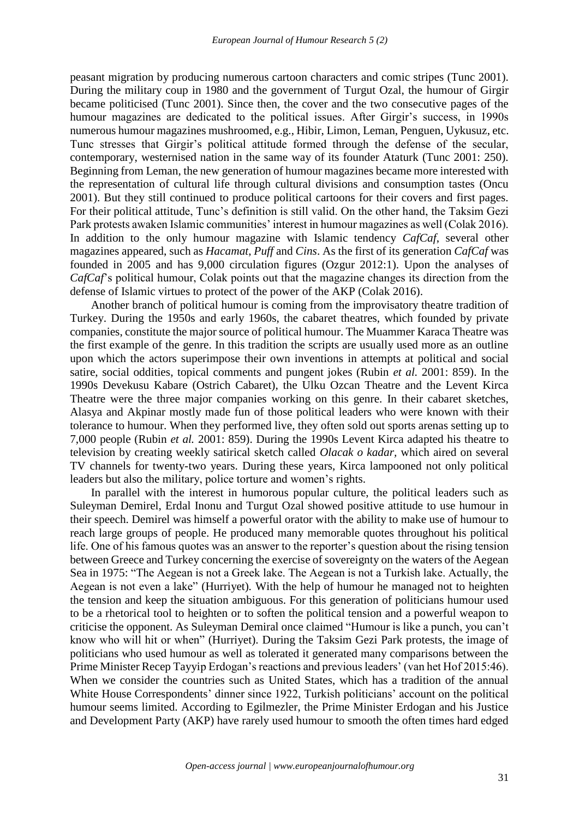peasant migration by producing numerous cartoon characters and comic stripes (Tunc 2001). During the military coup in 1980 and the government of Turgut Ozal, the humour of Girgir became politicised (Tunc 2001). Since then, the cover and the two consecutive pages of the humour magazines are dedicated to the political issues. After Girgir's success, in 1990s numerous humour magazines mushroomed, e.g., Hibir, Limon, Leman, Penguen, Uykusuz, etc. Tunc stresses that Girgir's political attitude formed through the defense of the secular, contemporary, westernised nation in the same way of its founder Ataturk (Tunc 2001: 250). Beginning from Leman, the new generation of humour magazines became more interested with the representation of cultural life through cultural divisions and consumption tastes (Oncu 2001). But they still continued to produce political cartoons for their covers and first pages. For their political attitude, Tunc's definition is still valid. On the other hand, the Taksim Gezi Park protests awaken Islamic communities' interest in humour magazines as well (Colak 2016). In addition to the only humour magazine with Islamic tendency *CafCaf*, several other magazines appeared, such as *Hacamat*, *Puff* and *Cins*. As the first of its generation *CafCaf* was founded in 2005 and has 9,000 circulation figures (Ozgur 2012:1). Upon the analyses of *CafCaf*'s political humour, Colak points out that the magazine changes its direction from the defense of Islamic virtues to protect of the power of the AKP (Colak 2016).

Another branch of political humour is coming from the improvisatory theatre tradition of Turkey. During the 1950s and early 1960s, the cabaret theatres, which founded by private companies, constitute the major source of political humour. The Muammer Karaca Theatre was the first example of the genre. In this tradition the scripts are usually used more as an outline upon which the actors superimpose their own inventions in attempts at political and social satire, social oddities, topical comments and pungent jokes (Rubin *et al.* 2001: 859). In the 1990s Devekusu Kabare (Ostrich Cabaret), the Ulku Ozcan Theatre and the Levent Kirca Theatre were the three major companies working on this genre. In their cabaret sketches, Alasya and Akpinar mostly made fun of those political leaders who were known with their tolerance to humour. When they performed live, they often sold out sports arenas setting up to 7,000 people (Rubin *et al.* 2001: 859). During the 1990s Levent Kirca adapted his theatre to television by creating weekly satirical sketch called *Olacak o kadar,* which aired on several TV channels for twenty-two years. During these years, Kirca lampooned not only political leaders but also the military, police torture and women's rights.

In parallel with the interest in humorous popular culture, the political leaders such as Suleyman Demirel, Erdal Inonu and Turgut Ozal showed positive attitude to use humour in their speech. Demirel was himself a powerful orator with the ability to make use of humour to reach large groups of people. He produced many memorable quotes throughout his political life. One of his famous quotes was an answer to the reporter's question about the rising tension between Greece and Turkey concerning the exercise of sovereignty on the waters of the Aegean Sea in 1975: "The Aegean is not a Greek lake. The Aegean is not a Turkish lake. Actually, the Aegean is not even a lake" (Hurriyet)*.* With the help of humour he managed not to heighten the tension and keep the situation ambiguous. For this generation of politicians humour used to be a rhetorical tool to heighten or to soften the political tension and a powerful weapon to criticise the opponent. As Suleyman Demiral once claimed "Humour is like a punch, you can't know who will hit or when" (Hurriyet). During the Taksim Gezi Park protests, the image of politicians who used humour as well as tolerated it generated many comparisons between the Prime Minister Recep Tayyip Erdogan's reactions and previous leaders' (van het Hof 2015:46). When we consider the countries such as United States, which has a tradition of the annual White House Correspondents' dinner since 1922, Turkish politicians' account on the political humour seems limited. According to Egilmezler, the Prime Minister Erdogan and his Justice and Development Party (AKP) have rarely used humour to smooth the often times hard edged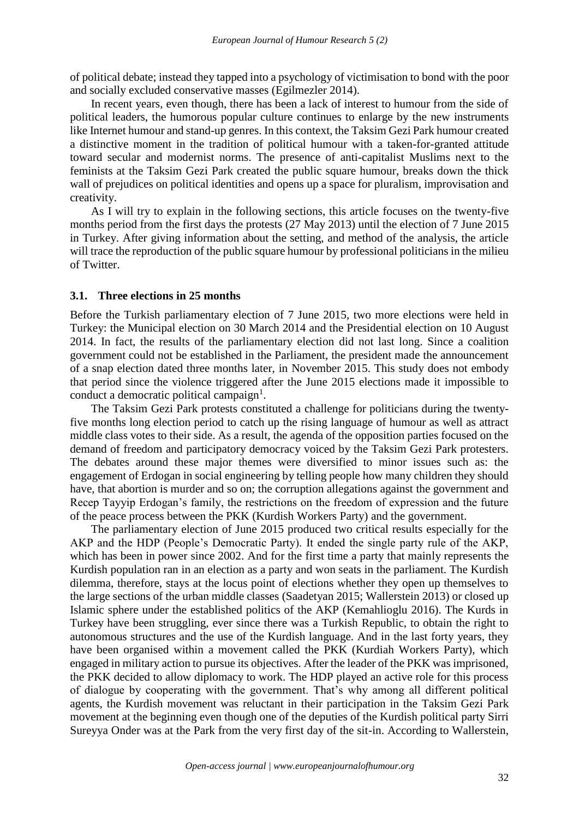of political debate; instead they tapped into a psychology of victimisation to bond with the poor and socially excluded conservative masses (Egilmezler 2014).

In recent years, even though, there has been a lack of interest to humour from the side of political leaders, the humorous popular culture continues to enlarge by the new instruments like Internet humour and stand-up genres. In this context, the Taksim Gezi Park humour created a distinctive moment in the tradition of political humour with a taken-for-granted attitude toward secular and modernist norms. The presence of anti-capitalist Muslims next to the feminists at the Taksim Gezi Park created the public square humour, breaks down the thick wall of prejudices on political identities and opens up a space for pluralism, improvisation and creativity.

As I will try to explain in the following sections, this article focuses on the twenty-five months period from the first days the protests (27 May 2013) until the election of 7 June 2015 in Turkey. After giving information about the setting, and method of the analysis, the article will trace the reproduction of the public square humour by professional politicians in the milieu of Twitter.

#### **3.1. Three elections in 25 months**

Before the Turkish parliamentary election of 7 June 2015, two more elections were held in Turkey: the Municipal election on 30 March 2014 and the Presidential election on 10 August 2014. In fact, the results of the parliamentary election did not last long. Since a coalition government could not be established in the Parliament, the president made the announcement of a snap election dated three months later, in November 2015. This study does not embody that period since the violence triggered after the June 2015 elections made it impossible to conduct a democratic political campaign<sup>1</sup>.

The Taksim Gezi Park protests constituted a challenge for politicians during the twentyfive months long election period to catch up the rising language of humour as well as attract middle class votes to their side. As a result, the agenda of the opposition parties focused on the demand of freedom and participatory democracy voiced by the Taksim Gezi Park protesters. The debates around these major themes were diversified to minor issues such as: the engagement of Erdogan in social engineering by telling people how many children they should have, that abortion is murder and so on; the corruption allegations against the government and Recep Tayyip Erdogan's family, the restrictions on the freedom of expression and the future of the peace process between the PKK (Kurdish Workers Party) and the government.

The parliamentary election of June 2015 produced two critical results especially for the AKP and the HDP (People's Democratic Party). It ended the single party rule of the AKP, which has been in power since 2002. And for the first time a party that mainly represents the Kurdish population ran in an election as a party and won seats in the parliament. The Kurdish dilemma, therefore, stays at the locus point of elections whether they open up themselves to the large sections of the urban middle classes (Saadetyan 2015; Wallerstein 2013) or closed up Islamic sphere under the established politics of the AKP (Kemahlioglu 2016). The Kurds in Turkey have been struggling, ever since there was a Turkish Republic, to obtain the right to autonomous structures and the use of the Kurdish language. And in the last forty years, they have been organised within a movement called the PKK (Kurdiah Workers Party), which engaged in military action to pursue its objectives. After the leader of the PKK was imprisoned, the PKK decided to allow diplomacy to work. The HDP played an active role for this process of dialogue by cooperating with the government. That's why among all different political agents, the Kurdish movement was reluctant in their participation in the Taksim Gezi Park movement at the beginning even though one of the deputies of the Kurdish political party Sirri Sureyya Onder was at the Park from the very first day of the sit-in. According to Wallerstein,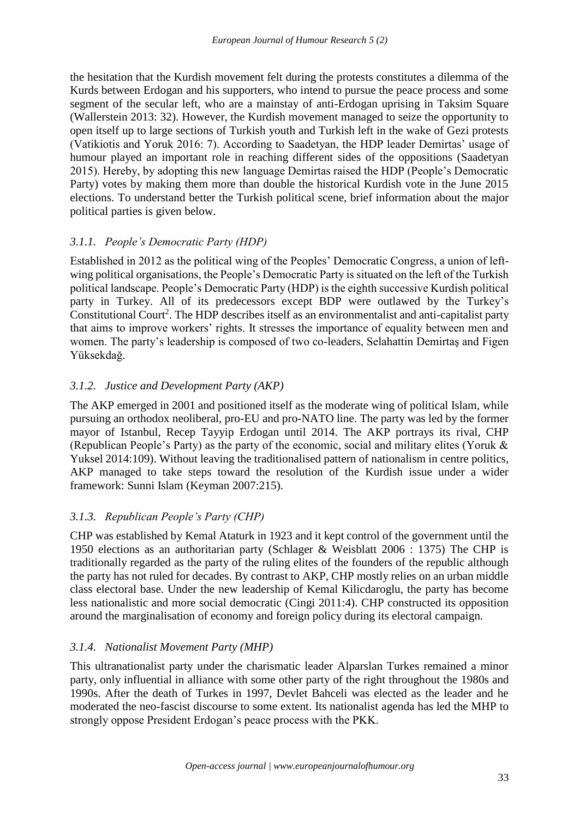the hesitation that the Kurdish movement felt during the protests constitutes a dilemma of the Kurds between Erdogan and his supporters, who intend to pursue the peace process and some segment of the secular left, who are a mainstay of anti-Erdogan uprising in Taksim Square (Wallerstein 2013: 32). However, the Kurdish movement managed to seize the opportunity to open itself up to large sections of Turkish youth and Turkish left in the wake of Gezi protests (Vatikiotis and Yoruk 2016: 7). According to Saadetyan, the HDP leader Demirtas' usage of humour played an important role in reaching different sides of the oppositions (Saadetyan 2015). Hereby, by adopting this new language Demirtas raised the HDP (People's Democratic Party) votes by making them more than double the historical Kurdish vote in the June 2015 elections. To understand better the Turkish political scene, brief information about the major political parties is given below.

## *3.1.1. People's Democratic Party (HDP)*

Established in 2012 as the political wing of the Peoples' Democratic Congress, a union of leftwing political organisations, the People's Democratic Party is situated on the left of the Turkish political landscape. People's Democratic Party (HDP) is the eighth successive Kurdish political party in Turkey. All of its predecessors except BDP were outlawed by the Turkey's Constitutional Court<sup>2</sup>. The HDP describes itself as an environmentalist and anti-capitalist party that aims to improve workers' rights. It stresses the importance of equality between men and women. The party's leadership is composed of two co-leaders, Selahattin Demirtaş and Figen Yüksekdağ.

## *3.1.2. Justice and Development Party (AKP)*

The AKP emerged in 2001 and positioned itself as the moderate wing of political Islam, while pursuing an orthodox neoliberal, pro-EU and pro-NATO line. The party was led by the former mayor of Istanbul, Recep Tayyip Erdogan until 2014. The AKP portrays its rival, CHP (Republican People's Party) as the party of the economic, social and military elites (Yoruk & Yuksel 2014:109). Without leaving the traditionalised pattern of nationalism in centre politics, AKP managed to take steps toward the resolution of the Kurdish issue under a wider framework: Sunni Islam (Keyman 2007:215).

### *3.1.3. Republican People's Party (CHP)*

CHP was established by Kemal Ataturk in 1923 and it kept control of the government until the 1950 elections as an authoritarian party (Schlager & Weisblatt 2006 : 1375) The CHP is traditionally regarded as the party of the ruling elites of the founders of the republic although the party has not ruled for decades. By contrast to AKP, CHP mostly relies on an urban middle class electoral base. Under the new leadership of Kemal Kilicdaroglu, the party has become less nationalistic and more social democratic (Cingi 2011:4). CHP constructed its opposition around the marginalisation of economy and foreign policy during its electoral campaign.

### *3.1.4. Nationalist Movement Party (MHP)*

This ultranationalist party under the charismatic leader Alparslan Turkes remained a minor party, only influential in alliance with some other party of the right throughout the 1980s and 1990s. After the death of Turkes in 1997, Devlet Bahceli was elected as the leader and he moderated the neo-fascist discourse to some extent. Its nationalist agenda has led the MHP to strongly oppose President Erdogan's peace process with the PKK.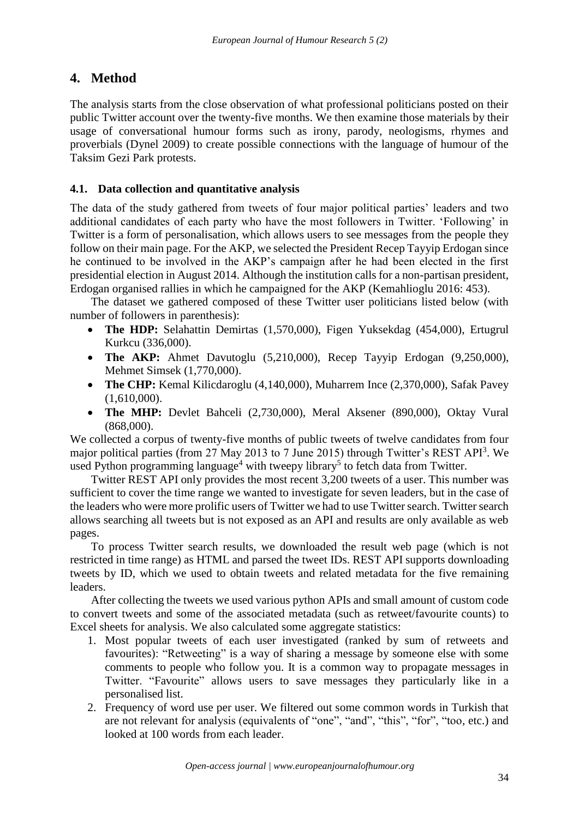# **4. Method**

The analysis starts from the close observation of what professional politicians posted on their public Twitter account over the twenty-five months. We then examine those materials by their usage of conversational humour forms such as irony, parody, neologisms, rhymes and proverbials (Dynel 2009) to create possible connections with the language of humour of the Taksim Gezi Park protests.

## **4.1. Data collection and quantitative analysis**

The data of the study gathered from tweets of four major political parties' leaders and two additional candidates of each party who have the most followers in Twitter. 'Following' in Twitter is a form of personalisation, which allows users to see messages from the people they follow on their main page. For the AKP, we selected the President Recep Tayyip Erdogan since he continued to be involved in the AKP's campaign after he had been elected in the first presidential election in August 2014. Although the institution calls for a non-partisan president, Erdogan organised rallies in which he campaigned for the AKP (Kemahlioglu 2016: 453).

The dataset we gathered composed of these Twitter user politicians listed below (with number of followers in parenthesis):

- **The HDP:** Selahattin Demirtas (1,570,000), Figen Yuksekdag (454,000), Ertugrul Kurkcu (336,000).
- **The AKP:** Ahmet Davutoglu (5,210,000), Recep Tayyip Erdogan (9,250,000), Mehmet Simsek (1,770,000).
- **The CHP:** Kemal Kilicdaroglu (4,140,000), Muharrem Ince (2,370,000), Safak Pavey (1,610,000).
- **The MHP:** Devlet Bahceli (2,730,000), Meral Aksener (890,000), Oktay Vural (868,000).

We collected a corpus of twenty-five months of public tweets of twelve candidates from four major political parties (from 27 May 2013 to 7 June 2015) through Twitter's REST API<sup>3</sup>. We used Python programming language<sup>4</sup> with tweepy library<sup>5</sup> to fetch data from Twitter.

Twitter REST API only provides the most recent 3,200 tweets of a user. This number was sufficient to cover the time range we wanted to investigate for seven leaders, but in the case of the leaders who were more prolific users of Twitter we had to use Twitter search. Twitter search allows searching all tweets but is not exposed as an API and results are only available as web pages.

To process Twitter search results, we downloaded the result web page (which is not restricted in time range) as HTML and parsed the tweet IDs. REST API supports downloading tweets by ID, which we used to obtain tweets and related metadata for the five remaining leaders.

After collecting the tweets we used various python APIs and small amount of custom code to convert tweets and some of the associated metadata (such as retweet/favourite counts) to Excel sheets for analysis. We also calculated some aggregate statistics:

- 1. Most popular tweets of each user investigated (ranked by sum of retweets and favourites): "Retweeting" is a way of sharing a message by someone else with some comments to people who follow you. It is a common way to propagate messages in Twitter. "Favourite" allows users to save messages they particularly like in a personalised list.
- 2. Frequency of word use per user. We filtered out some common words in Turkish that are not relevant for analysis (equivalents of "one", "and", "this", "for", "too, etc.) and looked at 100 words from each leader.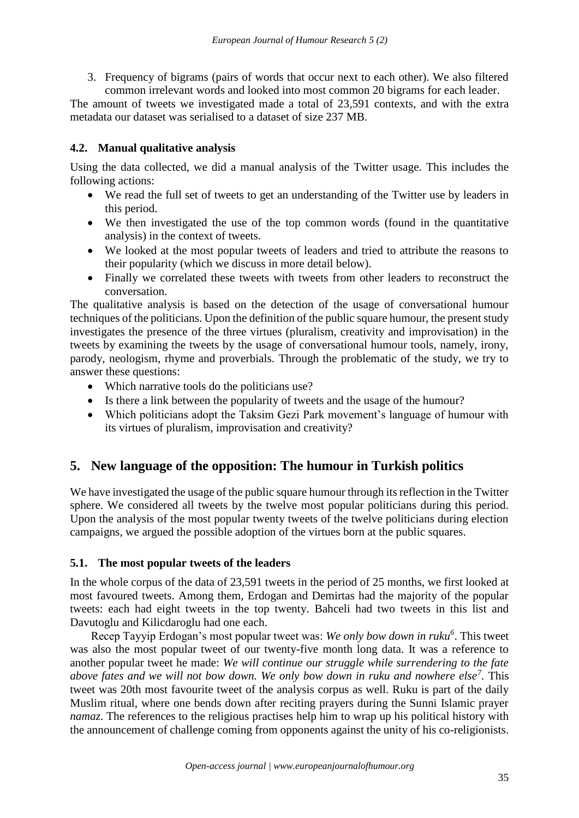3. Frequency of bigrams (pairs of words that occur next to each other). We also filtered common irrelevant words and looked into most common 20 bigrams for each leader.

The amount of tweets we investigated made a total of 23,591 contexts, and with the extra metadata our dataset was serialised to a dataset of size 237 MB.

## **4.2. Manual qualitative analysis**

Using the data collected, we did a manual analysis of the Twitter usage. This includes the following actions:

- We read the full set of tweets to get an understanding of the Twitter use by leaders in this period.
- We then investigated the use of the top common words (found in the quantitative analysis) in the context of tweets.
- We looked at the most popular tweets of leaders and tried to attribute the reasons to their popularity (which we discuss in more detail below).
- Finally we correlated these tweets with tweets from other leaders to reconstruct the conversation.

The qualitative analysis is based on the detection of the usage of conversational humour techniques of the politicians. Upon the definition of the public square humour, the present study investigates the presence of the three virtues (pluralism, creativity and improvisation) in the tweets by examining the tweets by the usage of conversational humour tools, namely, irony, parody, neologism, rhyme and proverbials. Through the problematic of the study, we try to answer these questions:

- Which narrative tools do the politicians use?
- Is there a link between the popularity of tweets and the usage of the humour?
- Which politicians adopt the Taksim Gezi Park movement's language of humour with its virtues of pluralism, improvisation and creativity?

# **5. New language of the opposition: The humour in Turkish politics**

We have investigated the usage of the public square humour through its reflection in the Twitter sphere. We considered all tweets by the twelve most popular politicians during this period. Upon the analysis of the most popular twenty tweets of the twelve politicians during election campaigns, we argued the possible adoption of the virtues born at the public squares.

### **5.1. The most popular tweets of the leaders**

In the whole corpus of the data of 23,591 tweets in the period of 25 months, we first looked at most favoured tweets. Among them, Erdogan and Demirtas had the majority of the popular tweets: each had eight tweets in the top twenty. Bahceli had two tweets in this list and Davutoglu and Kilicdaroglu had one each.

Recep Tayyip Erdogan's most popular tweet was: *We only bow down in ruku<sup>6</sup>* . This tweet was also the most popular tweet of our twenty-five month long data. It was a reference to another popular tweet he made: *We will continue our struggle while surrendering to the fate above fates and we will not bow down. We only bow down in ruku and nowhere else<sup>7</sup> .* This tweet was 20th most favourite tweet of the analysis corpus as well. Ruku is part of the daily Muslim ritual, where one bends down after reciting prayers during the Sunni Islamic prayer *namaz*. The references to the religious practises help him to wrap up his political history with the announcement of challenge coming from opponents against the unity of his co-religionists.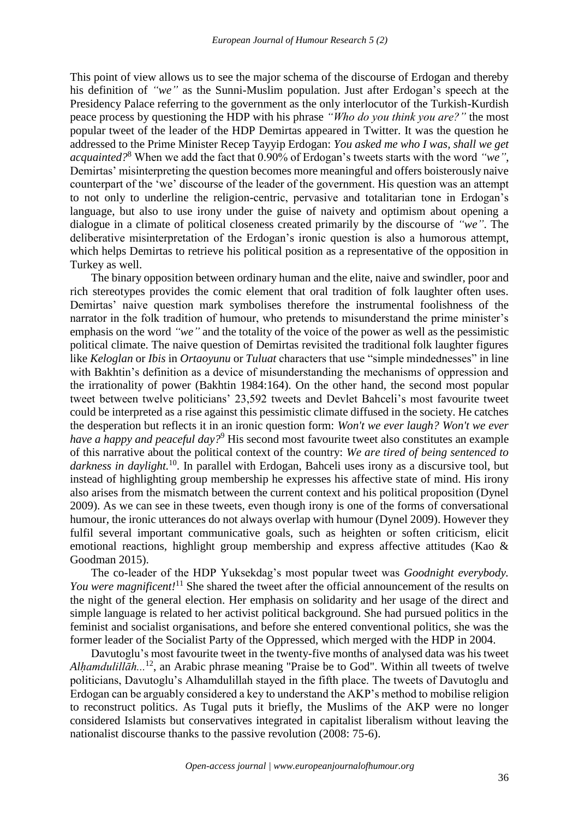This point of view allows us to see the major schema of the discourse of Erdogan and thereby his definition of *"we"* as the Sunni-Muslim population. Just after Erdogan's speech at the Presidency Palace referring to the government as the only interlocutor of the Turkish-Kurdish peace process by questioning the HDP with his phrase *"Who do you think you are?"* the most popular tweet of the leader of the HDP Demirtas appeared in Twitter. It was the question he addressed to the Prime Minister Recep Tayyip Erdogan: *You asked me who I was, shall we get acquainted?*<sup>8</sup> When we add the fact that 0.90% of Erdogan's tweets starts with the word *"we"*, Demirtas' misinterpreting the question becomes more meaningful and offers boisterously naive counterpart of the 'we' discourse of the leader of the government. His question was an attempt to not only to underline the religion-centric, pervasive and totalitarian tone in Erdogan's language, but also to use irony under the guise of naivety and optimism about opening a dialogue in a climate of political closeness created primarily by the discourse of *"we"*. The deliberative misinterpretation of the Erdogan's ironic question is also a humorous attempt, which helps Demirtas to retrieve his political position as a representative of the opposition in Turkey as well.

The binary opposition between ordinary human and the elite, naive and swindler, poor and rich stereotypes provides the comic element that oral tradition of folk laughter often uses. Demirtas' naive question mark symbolises therefore the instrumental foolishness of the narrator in the folk tradition of humour, who pretends to misunderstand the prime minister's emphasis on the word *"we"* and the totality of the voice of the power as well as the pessimistic political climate. The naive question of Demirtas revisited the traditional folk laughter figures like *Keloglan* or *Ibis* in *Ortaoyunu* or *Tuluat* characters that use "simple mindednesses" in line with Bakhtin's definition as a device of misunderstanding the mechanisms of oppression and the irrationality of power (Bakhtin 1984:164). On the other hand, the second most popular tweet between twelve politicians' 23,592 tweets and Devlet Bahceli's most favourite tweet could be interpreted as a rise against this pessimistic climate diffused in the society. He catches the desperation but reflects it in an ironic question form: *Won't we ever laugh? Won't we ever have a happy and peaceful day?*<sup>9</sup> His second most favourite tweet also constitutes an example of this narrative about the political context of the country: *We are tired of being sentenced to darkness in daylight.*<sup>10</sup>. In parallel with Erdogan, Bahceli uses irony as a discursive tool, but instead of highlighting group membership he expresses his affective state of mind. His irony also arises from the mismatch between the current context and his political proposition (Dynel 2009). As we can see in these tweets, even though irony is one of the forms of conversational humour, the ironic utterances do not always overlap with humour (Dynel 2009). However they fulfil several important communicative goals, such as heighten or soften criticism, elicit emotional reactions, highlight group membership and express affective attitudes (Kao & Goodman 2015).

The co-leader of the HDP Yuksekdag's most popular tweet was *Goodnight everybody. You were magnificent!*<sup>11</sup> She shared the tweet after the official announcement of the results on the night of the general election. Her emphasis on solidarity and her usage of the direct and simple language is related to her activist political background. She had pursued politics in the feminist and socialist organisations, and before she entered conventional politics, she was the former leader of the Socialist Party of the Oppressed, which merged with the HDP in 2004.

Davutoglu's most favourite tweet in the twenty-five months of analysed data was his tweet *Alhamdulillāh...*<sup>12</sup>, an Arabic phrase meaning "Praise be to God". Within all tweets of twelve politicians, Davutoglu's Alhamdulillah stayed in the fifth place. The tweets of Davutoglu and Erdogan can be arguably considered a key to understand the AKP's method to mobilise religion to reconstruct politics. As Tugal puts it briefly, the Muslims of the AKP were no longer considered Islamists but conservatives integrated in capitalist liberalism without leaving the nationalist discourse thanks to the passive revolution (2008: 75-6).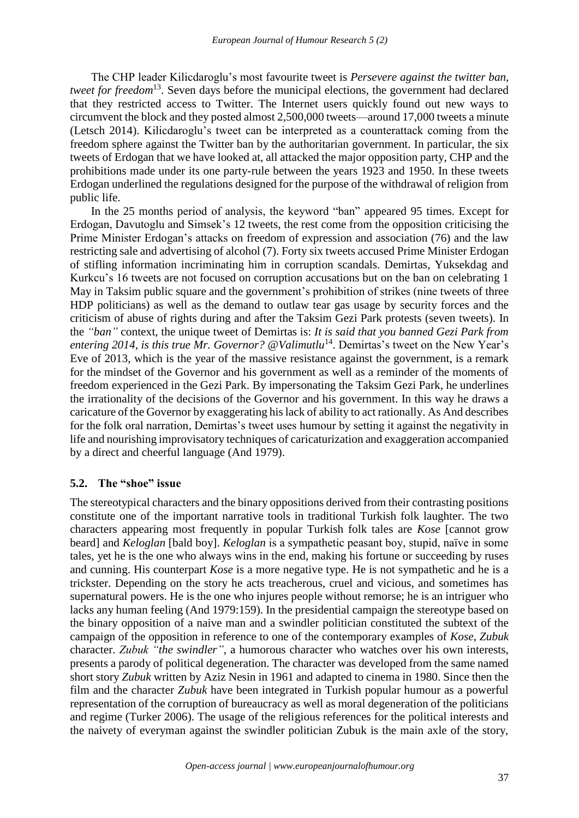The CHP leader Kilicdaroglu's most favourite tweet is *Persevere against the twitter ban, tweet for freedom*<sup>13</sup>. Seven days before the municipal elections, the government had declared that they restricted access to Twitter. The Internet users quickly found out new ways to circumvent the block and they posted almost 2,500,000 tweets—around 17,000 tweets a minute (Letsch 2014). Kilicdaroglu's tweet can be interpreted as a counterattack coming from the freedom sphere against the Twitter ban by the authoritarian government. In particular, the six tweets of Erdogan that we have looked at, all attacked the major opposition party, CHP and the prohibitions made under its one party-rule between the years 1923 and 1950. In these tweets Erdogan underlined the regulations designed for the purpose of the withdrawal of religion from public life.

In the 25 months period of analysis, the keyword "ban" appeared 95 times. Except for Erdogan, Davutoglu and Simsek's 12 tweets, the rest come from the opposition criticising the Prime Minister Erdogan's attacks on freedom of expression and association (76) and the law restricting sale and advertising of alcohol (7). Forty six tweets accused Prime Minister Erdogan of stifling information incriminating him in corruption scandals. Demirtas, Yuksekdag and Kurkcu's 16 tweets are not focused on corruption accusations but on the ban on celebrating 1 May in Taksim public square and the government's prohibition of strikes (nine tweets of three HDP politicians) as well as the demand to outlaw tear gas usage by security forces and the criticism of abuse of rights during and after the Taksim Gezi Park protests (seven tweets). In the *"ban"* context, the unique tweet of Demirtas is: *It is said that you banned Gezi Park from*  entering 2014, is this true Mr. Governor? @Valimutlu<sup>14</sup>. Demirtas's tweet on the New Year's Eve of 2013, which is the year of the massive resistance against the government, is a remark for the mindset of the Governor and his government as well as a reminder of the moments of freedom experienced in the Gezi Park. By impersonating the Taksim Gezi Park, he underlines the irrationality of the decisions of the Governor and his government. In this way he draws a caricature of the Governor by exaggerating his lack of ability to act rationally. As And describes for the folk oral narration, Demirtas's tweet uses humour by setting it against the negativity in life and nourishing improvisatory techniques of caricaturization and exaggeration accompanied by a direct and cheerful language (And 1979).

### **5.2. The "shoe" issue**

The stereotypical characters and the binary oppositions derived from their contrasting positions constitute one of the important narrative tools in traditional Turkish folk laughter. The two characters appearing most frequently in popular Turkish folk tales are *Kose* [cannot grow beard] and *Keloglan* [bald boy]. *Keloglan* is a sympathetic peasant boy, stupid, naïve in some tales, yet he is the one who always wins in the end, making his fortune or succeeding by ruses and cunning. His counterpart *Kose* is a more negative type. He is not sympathetic and he is a trickster. Depending on the story he acts treacherous, cruel and vicious, and sometimes has supernatural powers. He is the one who injures people without remorse; he is an intriguer who lacks any human feeling (And 1979:159). In the presidential campaign the stereotype based on the binary opposition of a naive man and a swindler politician constituted the subtext of the campaign of the opposition in reference to one of the contemporary examples of *Kose*, *Zubuk* character. *Zubuk "the swindler"*, a humorous character who watches over his own interests, presents a parody of political degeneration. The character was developed from the same named short story *Zubuk* written by Aziz Nesin in 1961 and adapted to cinema in 1980. Since then the film and the character *Zubuk* have been integrated in Turkish popular humour as a powerful representation of the corruption of bureaucracy as well as moral degeneration of the politicians and regime (Turker 2006). The usage of the religious references for the political interests and the naivety of everyman against the swindler politician Zubuk is the main axle of the story,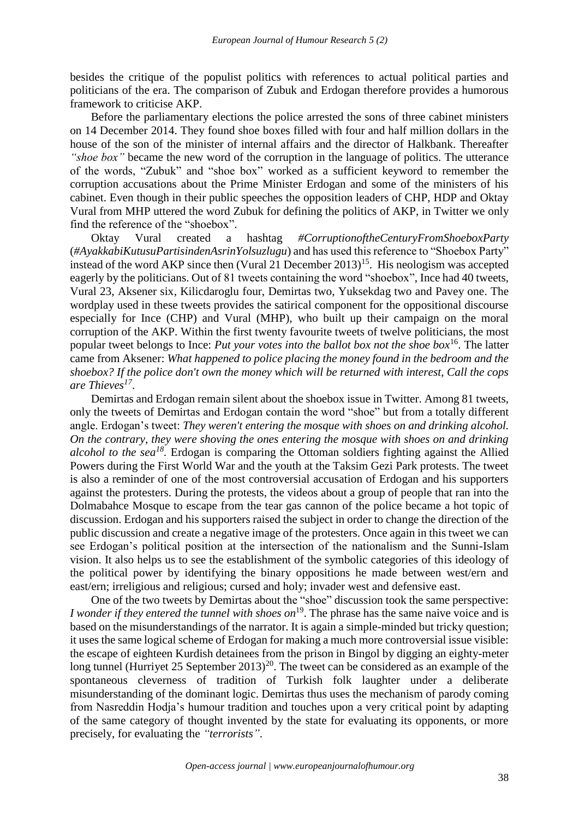besides the critique of the populist politics with references to actual political parties and politicians of the era. The comparison of Zubuk and Erdogan therefore provides a humorous framework to criticise AKP.

Before the parliamentary elections the police arrested the sons of three cabinet ministers on 14 December 2014. They found shoe boxes filled with four and half million dollars in the house of the son of the minister of internal affairs and the director of Halkbank. Thereafter *"shoe box"* became the new word of the corruption in the language of politics. The utterance of the words, "Zubuk" and "shoe box" worked as a sufficient keyword to remember the corruption accusations about the Prime Minister Erdogan and some of the ministers of his cabinet. Even though in their public speeches the opposition leaders of CHP, HDP and Oktay Vural from MHP uttered the word Zubuk for defining the politics of AKP, in Twitter we only find the reference of the "shoebox".

Oktay Vural created a hashtag *#CorruptionoftheCenturyFromShoeboxParty* (*#AyakkabiKutusuPartisindenAsrinYolsuzlugu*) and has used this reference to "Shoebox Party" instead of the word AKP since then (Vural 21 December 2013)<sup>15</sup>. His neologism was accepted eagerly by the politicians. Out of 81 tweets containing the word "shoebox", Ince had 40 tweets, Vural 23, Aksener six, Kilicdaroglu four, Demirtas two, Yuksekdag two and Pavey one. The wordplay used in these tweets provides the satirical component for the oppositional discourse especially for Ince (CHP) and Vural (MHP), who built up their campaign on the moral corruption of the AKP. Within the first twenty favourite tweets of twelve politicians, the most popular tweet belongs to Ince: *Put your votes into the ballot box not the shoe box*<sup>16</sup>. The latter came from Aksener: *What happened to police placing the money found in the bedroom and the shoebox? If the police don't own the money which will be returned with interest, Call the cops are Thieves<sup>17</sup>* .

Demirtas and Erdogan remain silent about the shoebox issue in Twitter. Among 81 tweets, only the tweets of Demirtas and Erdogan contain the word "shoe" but from a totally different angle. Erdogan's tweet: *They weren't entering the mosque with shoes on and drinking alcohol. On the contrary, they were shoving the ones entering the mosque with shoes on and drinking alcohol to the sea<sup>18</sup> .* Erdogan is comparing the Ottoman soldiers fighting against the Allied Powers during the First World War and the youth at the Taksim Gezi Park protests. The tweet is also a reminder of one of the most controversial accusation of Erdogan and his supporters against the protesters. During the protests, the videos about a group of people that ran into the Dolmabahce Mosque to escape from the tear gas cannon of the police became a hot topic of discussion. Erdogan and his supporters raised the subject in order to change the direction of the public discussion and create a negative image of the protesters. Once again in this tweet we can see Erdogan's political position at the intersection of the nationalism and the Sunni-Islam vision. It also helps us to see the establishment of the symbolic categories of this ideology of the political power by identifying the binary oppositions he made between west/ern and east/ern; irreligious and religious; cursed and holy; invader west and defensive east.

One of the two tweets by Demirtas about the "shoe" discussion took the same perspective: *I wonder if they entered the tunnel with shoes on*<sup>19</sup>. The phrase has the same naive voice and is based on the misunderstandings of the narrator. It is again a simple-minded but tricky question; it uses the same logical scheme of Erdogan for making a much more controversial issue visible: the escape of eighteen Kurdish detainees from the prison in Bingol by digging an eighty-meter long tunnel (Hurriyet 25 September 2013)<sup>20</sup>. The tweet can be considered as an example of the spontaneous cleverness of tradition of Turkish folk laughter under a deliberate misunderstanding of the dominant logic. Demirtas thus uses the mechanism of parody coming from Nasreddin Hodja's humour tradition and touches upon a very critical point by adapting of the same category of thought invented by the state for evaluating its opponents, or more precisely, for evaluating the *"terrorists"*.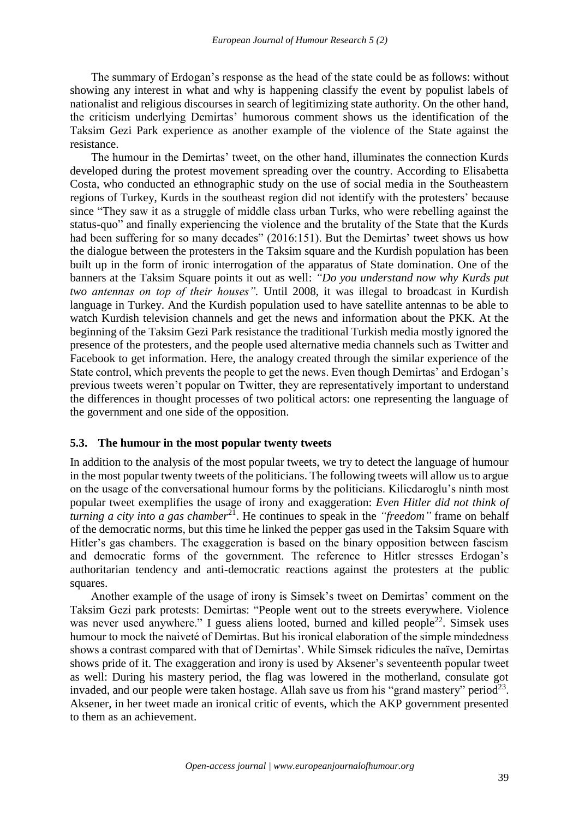The summary of Erdogan's response as the head of the state could be as follows: without showing any interest in what and why is happening classify the event by populist labels of nationalist and religious discourses in search of legitimizing state authority. On the other hand, the criticism underlying Demirtas' humorous comment shows us the identification of the Taksim Gezi Park experience as another example of the violence of the State against the resistance.

The humour in the Demirtas' tweet, on the other hand, illuminates the connection Kurds developed during the protest movement spreading over the country. According to Elisabetta Costa, who conducted an ethnographic study on the use of social media in the Southeastern regions of Turkey, Kurds in the southeast region did not identify with the protesters' because since "They saw it as a struggle of middle class urban Turks, who were rebelling against the status-quo" and finally experiencing the violence and the brutality of the State that the Kurds had been suffering for so many decades" (2016:151). But the Demirtas' tweet shows us how the dialogue between the protesters in the Taksim square and the Kurdish population has been built up in the form of ironic interrogation of the apparatus of State domination. One of the banners at the Taksim Square points it out as well: *"Do you understand now why Kurds put two antennas on top of their houses".* Until 2008, it was illegal to broadcast in Kurdish language in Turkey. And the Kurdish population used to have satellite antennas to be able to watch Kurdish television channels and get the news and information about the PKK. At the beginning of the Taksim Gezi Park resistance the traditional Turkish media mostly ignored the presence of the protesters, and the people used alternative media channels such as Twitter and Facebook to get information. Here, the analogy created through the similar experience of the State control, which prevents the people to get the news. Even though Demirtas' and Erdogan's previous tweets weren't popular on Twitter, they are representatively important to understand the differences in thought processes of two political actors: one representing the language of the government and one side of the opposition.

#### **5.3. The humour in the most popular twenty tweets**

In addition to the analysis of the most popular tweets, we try to detect the language of humour in the most popular twenty tweets of the politicians. The following tweets will allow us to argue on the usage of the conversational humour forms by the politicians. Kilicdaroglu's ninth most popular tweet exemplifies the usage of irony and exaggeration: *Even Hitler did not think of turning a city into a gas chamber*<sup>21</sup>. He continues to speak in the *"freedom"* frame on behalf of the democratic norms, but this time he linked the pepper gas used in the Taksim Square with Hitler's gas chambers. The exaggeration is based on the binary opposition between fascism and democratic forms of the government. The reference to Hitler stresses Erdogan's authoritarian tendency and anti-democratic reactions against the protesters at the public squares.

Another example of the usage of irony is Simsek's tweet on Demirtas' comment on the Taksim Gezi park protests: Demirtas: "People went out to the streets everywhere. Violence was never used anywhere." I guess aliens looted, burned and killed people<sup>22</sup>. Simsek uses humour to mock the naiveté of Demirtas. But his ironical elaboration of the simple mindedness shows a contrast compared with that of Demirtas'. While Simsek ridicules the naïve, Demirtas shows pride of it. The exaggeration and irony is used by Aksener's seventeenth popular tweet as well: During his mastery period, the flag was lowered in the motherland, consulate got invaded, and our people were taken hostage. Allah save us from his "grand mastery" period<sup>23</sup>. Aksener, in her tweet made an ironical critic of events, which the AKP government presented to them as an achievement.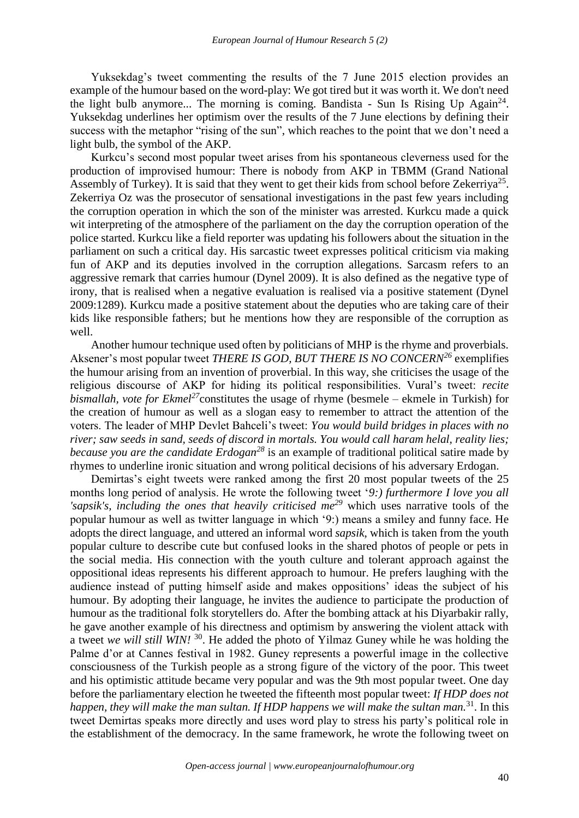Yuksekdag's tweet commenting the results of the 7 June 2015 election provides an example of the humour based on the word-play: We got tired but it was worth it. We don't need the light bulb anymore... The morning is coming. Bandista - Sun Is Rising Up Again<sup>24</sup>. Yuksekdag underlines her optimism over the results of the 7 June elections by defining their success with the metaphor "rising of the sun", which reaches to the point that we don't need a light bulb, the symbol of the AKP.

Kurkcu's second most popular tweet arises from his spontaneous cleverness used for the production of improvised humour: There is nobody from AKP in TBMM (Grand National Assembly of Turkey). It is said that they went to get their kids from school before Zekerriya<sup>25</sup>. Zekerriya Oz was the prosecutor of sensational investigations in the past few years including the corruption operation in which the son of the minister was arrested. Kurkcu made a quick wit interpreting of the atmosphere of the parliament on the day the corruption operation of the police started. Kurkcu like a field reporter was updating his followers about the situation in the parliament on such a critical day. His sarcastic tweet expresses political criticism via making fun of AKP and its deputies involved in the corruption allegations. Sarcasm refers to an aggressive remark that carries humour (Dynel 2009). It is also defined as the negative type of irony, that is realised when a negative evaluation is realised via a positive statement (Dynel 2009:1289). Kurkcu made a positive statement about the deputies who are taking care of their kids like responsible fathers; but he mentions how they are responsible of the corruption as well.

Another humour technique used often by politicians of MHP is the rhyme and proverbials. Aksener's most popular tweet *THERE IS GOD, BUT THERE IS NO CONCERN<sup>26</sup>* exemplifies the humour arising from an invention of proverbial. In this way, she criticises the usage of the religious discourse of AKP for hiding its political responsibilities. Vural's tweet: *recite bismallah, vote for Ekmel<sup>27</sup>*constitutes the usage of rhyme (besmele – ekmele in Turkish) for the creation of humour as well as a slogan easy to remember to attract the attention of the voters. The leader of MHP Devlet Bahceli's tweet: *You would build bridges in places with no river; saw seeds in sand, seeds of discord in mortals. You would call haram helal, reality lies; because you are the candidate Erdogan<sup>28</sup>* is an example of traditional political satire made by rhymes to underline ironic situation and wrong political decisions of his adversary Erdogan.

Demirtas's eight tweets were ranked among the first 20 most popular tweets of the 25 months long period of analysis. He wrote the following tweet '*9:) furthermore I love you all 'sapsik's, including the ones that heavily criticised me<sup>29</sup>* which uses narrative tools of the popular humour as well as twitter language in which '9:) means a smiley and funny face. He adopts the direct language, and uttered an informal word *sapsik*, which is taken from the youth popular culture to describe cute but confused looks in the shared photos of people or pets in the social media. His connection with the youth culture and tolerant approach against the oppositional ideas represents his different approach to humour. He prefers laughing with the audience instead of putting himself aside and makes oppositions' ideas the subject of his humour. By adopting their language, he invites the audience to participate the production of humour as the traditional folk storytellers do. After the bombing attack at his Diyarbakir rally, he gave another example of his directness and optimism by answering the violent attack with a tweet *we will still WIN!* <sup>30</sup>. He added the photo of Yilmaz Guney while he was holding the Palme d'or at Cannes festival in 1982. Guney represents a powerful image in the collective consciousness of the Turkish people as a strong figure of the victory of the poor. This tweet and his optimistic attitude became very popular and was the 9th most popular tweet. One day before the parliamentary election he tweeted the fifteenth most popular tweet: *If HDP does not happen, they will make the man sultan. If HDP happens we will make the sultan man.*<sup>31</sup>. In this tweet Demirtas speaks more directly and uses word play to stress his party's political role in the establishment of the democracy. In the same framework, he wrote the following tweet on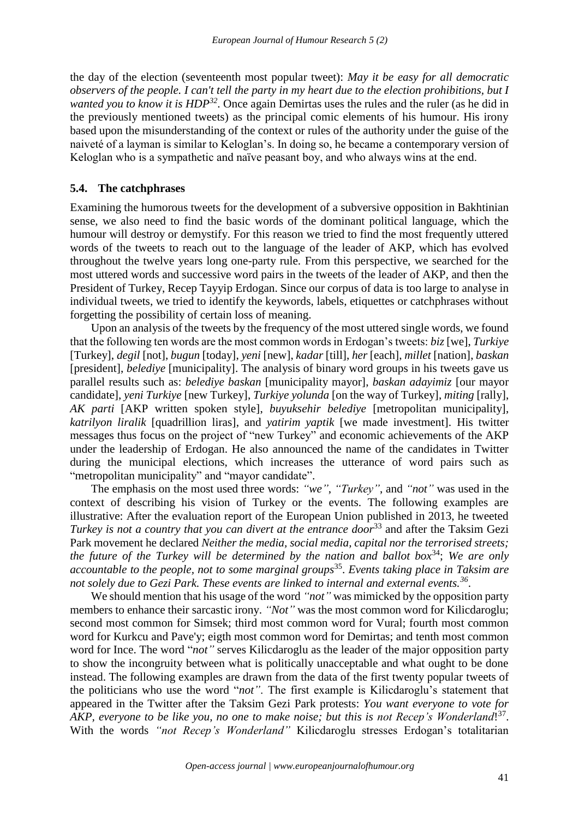the day of the election (seventeenth most popular tweet): *May it be easy for all democratic observers of the people. I can't tell the party in my heart due to the election prohibitions, but I wanted you to know it is HDP<sup>32</sup> .* Once again Demirtas uses the rules and the ruler (as he did in the previously mentioned tweets) as the principal comic elements of his humour. His irony based upon the misunderstanding of the context or rules of the authority under the guise of the naiveté of a layman is similar to Keloglan's. In doing so, he became a contemporary version of Keloglan who is a sympathetic and naïve peasant boy, and who always wins at the end.

#### **5.4. The catchphrases**

Examining the humorous tweets for the development of a subversive opposition in Bakhtinian sense, we also need to find the basic words of the dominant political language, which the humour will destroy or demystify. For this reason we tried to find the most frequently uttered words of the tweets to reach out to the language of the leader of AKP, which has evolved throughout the twelve years long one-party rule. From this perspective, we searched for the most uttered words and successive word pairs in the tweets of the leader of AKP, and then the President of Turkey, Recep Tayyip Erdogan. Since our corpus of data is too large to analyse in individual tweets, we tried to identify the keywords, labels, etiquettes or catchphrases without forgetting the possibility of certain loss of meaning.

Upon an analysis of the tweets by the frequency of the most uttered single words, we found that the following ten words are the most common words in Erdogan's tweets: *biz* [we], *Turkiye* [Turkey], *degil* [not], *bugun* [today], *yeni* [new], *kadar* [till], *her* [each], *millet* [nation], *baskan*  [president], *belediye* [municipality]. The analysis of binary word groups in his tweets gave us parallel results such as: *belediye baskan* [municipality mayor], *baskan adayimiz* [our mayor candidate], *yeni Turkiye* [new Turkey], *Turkiye yolunda* [on the way of Turkey], *miting* [rally], *AK parti* [AKP written spoken style], *buyuksehir belediye* [metropolitan municipality], *katrilyon liralik* [quadrillion liras], and *yatirim yaptik* [we made investment]. His twitter messages thus focus on the project of "new Turkey" and economic achievements of the AKP under the leadership of Erdogan. He also announced the name of the candidates in Twitter during the municipal elections, which increases the utterance of word pairs such as "metropolitan municipality" and "mayor candidate".

The emphasis on the most used three words: *"we"*, *"Turkey"*, and *"not"* was used in the context of describing his vision of Turkey or the events. The following examples are illustrative: After the evaluation report of the European Union published in 2013, he tweeted *Turkey is not a country that you can divert at the entrance door*<sup>33</sup> and after the Taksim Gezi Park movement he declared *Neither the media, social media, capital nor the terrorised streets; the future of the Turkey will be determined by the nation and ballot box*<sup>34</sup>; *We are only accountable to the people, not to some marginal groups*<sup>35</sup> . *Events taking place in Taksim are not solely due to Gezi Park. These events are linked to internal and external events.<sup>36</sup>* .

We should mention that his usage of the word *"not"* was mimicked by the opposition party members to enhance their sarcastic irony. *"Not"* was the most common word for Kilicdaroglu; second most common for Simsek; third most common word for Vural; fourth most common word for Kurkcu and Pave'y; eigth most common word for Demirtas; and tenth most common word for Ince. The word "*not"* serves Kilicdaroglu as the leader of the major opposition party to show the incongruity between what is politically unacceptable and what ought to be done instead. The following examples are drawn from the data of the first twenty popular tweets of the politicians who use the word "*not"*. The first example is Kilicdaroglu's statement that appeared in the Twitter after the Taksim Gezi Park protests: *You want everyone to vote for*  AKP, everyone to be like you, no one to make noise; but this is not Recep's Wonderland!<sup>37</sup>. With the words *"not Recep's Wonderland"* Kilicdaroglu stresses Erdogan's totalitarian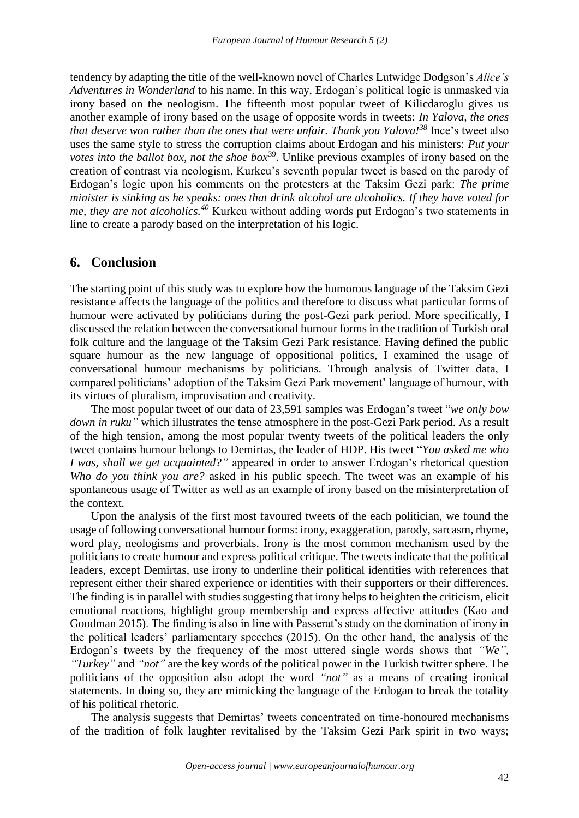tendency by adapting the title of the well-known novel of Charles Lutwidge Dodgson's *Alice's Adventures in Wonderland* to his name. In this way, Erdogan's political logic is unmasked via irony based on the neologism. The fifteenth most popular tweet of Kilicdaroglu gives us another example of irony based on the usage of opposite words in tweets: *In Yalova, the ones that deserve won rather than the ones that were unfair. Thank you Yalova!<sup>38</sup>* Ince's tweet also uses the same style to stress the corruption claims about Erdogan and his ministers: *Put your votes into the ballot box, not the shoe box*<sup>39</sup>. Unlike previous examples of irony based on the creation of contrast via neologism, Kurkcu's seventh popular tweet is based on the parody of Erdogan's logic upon his comments on the protesters at the Taksim Gezi park: *The prime minister is sinking as he speaks: ones that drink alcohol are alcoholics. If they have voted for me, they are not alcoholics.<sup>40</sup>* Kurkcu without adding words put Erdogan's two statements in line to create a parody based on the interpretation of his logic.

### **6. Conclusion**

The starting point of this study was to explore how the humorous language of the Taksim Gezi resistance affects the language of the politics and therefore to discuss what particular forms of humour were activated by politicians during the post-Gezi park period. More specifically, I discussed the relation between the conversational humour forms in the tradition of Turkish oral folk culture and the language of the Taksim Gezi Park resistance. Having defined the public square humour as the new language of oppositional politics, I examined the usage of conversational humour mechanisms by politicians. Through analysis of Twitter data, I compared politicians' adoption of the Taksim Gezi Park movement' language of humour, with its virtues of pluralism, improvisation and creativity.

The most popular tweet of our data of 23,591 samples was Erdogan's tweet "*we only bow down in ruku"* which illustrates the tense atmosphere in the post-Gezi Park period. As a result of the high tension, among the most popular twenty tweets of the political leaders the only tweet contains humour belongs to Demirtas, the leader of HDP. His tweet "*You asked me who I was, shall we get acquainted?"* appeared in order to answer Erdogan's rhetorical question *Who do you think you are?* asked in his public speech. The tweet was an example of his spontaneous usage of Twitter as well as an example of irony based on the misinterpretation of the context.

Upon the analysis of the first most favoured tweets of the each politician, we found the usage of following conversational humour forms: irony, exaggeration, parody, sarcasm, rhyme, word play, neologisms and proverbials. Irony is the most common mechanism used by the politicians to create humour and express political critique. The tweets indicate that the political leaders, except Demirtas, use irony to underline their political identities with references that represent either their shared experience or identities with their supporters or their differences. The finding is in parallel with studies suggesting that irony helps to heighten the criticism, elicit emotional reactions, highlight group membership and express affective attitudes (Kao and Goodman 2015). The finding is also in line with Passerat's study on the domination of irony in the political leaders' parliamentary speeches (2015). On the other hand, the analysis of the Erdogan's tweets by the frequency of the most uttered single words shows that *"We"*, *"Turkey"* and *"not"* are the key words of the political power in the Turkish twitter sphere. The politicians of the opposition also adopt the word *"not"* as a means of creating ironical statements. In doing so, they are mimicking the language of the Erdogan to break the totality of his political rhetoric.

The analysis suggests that Demirtas' tweets concentrated on time-honoured mechanisms of the tradition of folk laughter revitalised by the Taksim Gezi Park spirit in two ways;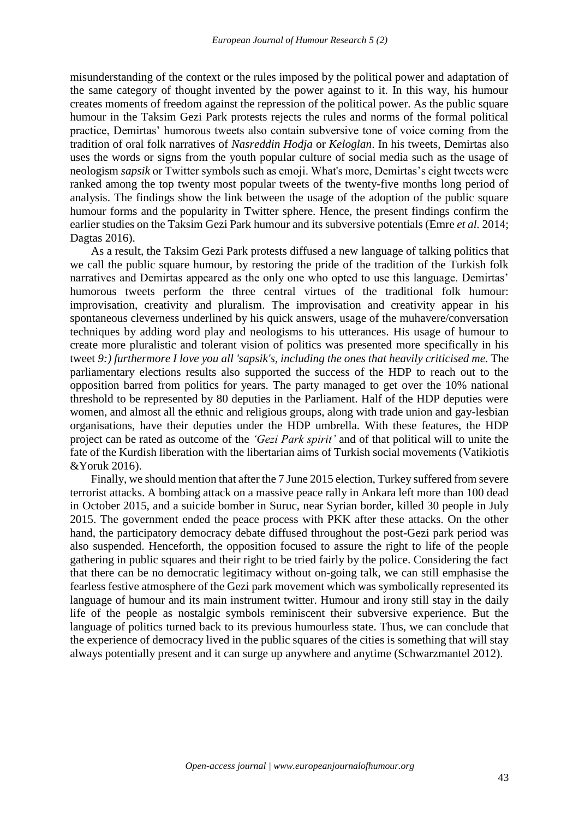misunderstanding of the context or the rules imposed by the political power and adaptation of the same category of thought invented by the power against to it. In this way, his humour creates moments of freedom against the repression of the political power. As the public square humour in the Taksim Gezi Park protests rejects the rules and norms of the formal political practice, Demirtas' humorous tweets also contain subversive tone of voice coming from the tradition of oral folk narratives of *Nasreddin Hodja* or *Keloglan*. In his tweets, Demirtas also uses the words or signs from the youth popular culture of social media such as the usage of neologism *sapsik* or Twitter symbols such as emoji. What's more, Demirtas's eight tweets were ranked among the top twenty most popular tweets of the twenty-five months long period of analysis. The findings show the link between the usage of the adoption of the public square humour forms and the popularity in Twitter sphere. Hence, the present findings confirm the earlier studies on the Taksim Gezi Park humour and its subversive potentials (Emre *et al.* 2014; Dagtas 2016).

As a result, the Taksim Gezi Park protests diffused a new language of talking politics that we call the public square humour, by restoring the pride of the tradition of the Turkish folk narratives and Demirtas appeared as the only one who opted to use this language. Demirtas' humorous tweets perform the three central virtues of the traditional folk humour: improvisation, creativity and pluralism. The improvisation and creativity appear in his spontaneous cleverness underlined by his quick answers, usage of the muhavere/conversation techniques by adding word play and neologisms to his utterances. His usage of humour to create more pluralistic and tolerant vision of politics was presented more specifically in his tweet *9:) furthermore I love you all 'sapsik's, including the ones that heavily criticised me*. The parliamentary elections results also supported the success of the HDP to reach out to the opposition barred from politics for years. The party managed to get over the 10% national threshold to be represented by 80 deputies in the Parliament. Half of the HDP deputies were women, and almost all the ethnic and religious groups, along with trade union and gay-lesbian organisations, have their deputies under the HDP umbrella. With these features, the HDP project can be rated as outcome of the *'Gezi Park spirit'* and of that political will to unite the fate of the Kurdish liberation with the libertarian aims of Turkish social movements (Vatikiotis &Yoruk 2016).

Finally, we should mention that after the 7 June 2015 election, Turkey suffered from severe terrorist attacks. A bombing attack on a massive peace rally in Ankara left more than 100 dead in October 2015, and a suicide bomber in Suruc, near Syrian border, killed 30 people in July 2015. The government ended the peace process with PKK after these attacks. On the other hand, the participatory democracy debate diffused throughout the post-Gezi park period was also suspended. Henceforth, the opposition focused to assure the right to life of the people gathering in public squares and their right to be tried fairly by the police. Considering the fact that there can be no democratic legitimacy without on-going talk, we can still emphasise the fearless festive atmosphere of the Gezi park movement which was symbolically represented its language of humour and its main instrument twitter. Humour and irony still stay in the daily life of the people as nostalgic symbols reminiscent their subversive experience. But the language of politics turned back to its previous humourless state. Thus, we can conclude that the experience of democracy lived in the public squares of the cities is something that will stay always potentially present and it can surge up anywhere and anytime (Schwarzmantel 2012).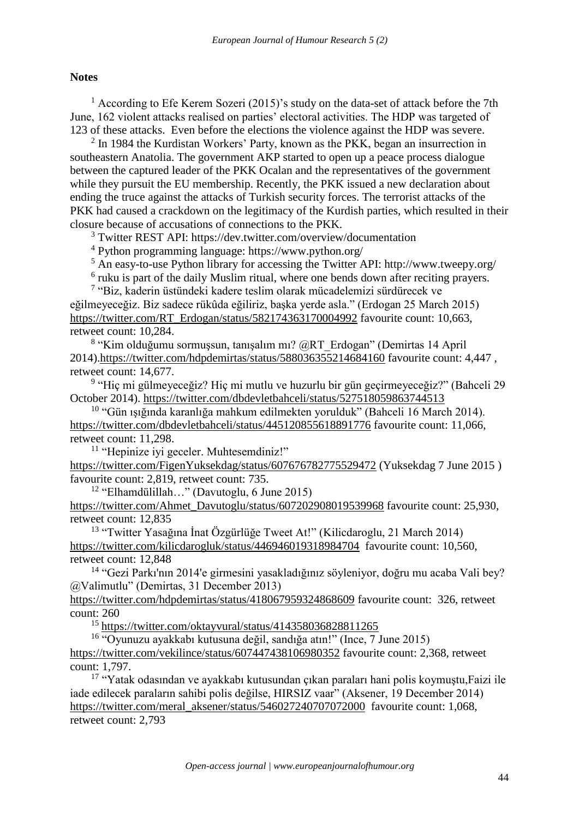#### **Notes**

<sup>1</sup> According to Efe Kerem Sozeri (2015)'s study on the data-set of attack before the 7th June, 162 violent attacks realised on parties' electoral activities. The HDP was targeted of 123 of these attacks. Even before the elections the violence against the HDP was severe.

<sup>2</sup> In 1984 the Kurdistan Workers' Party, known as the PKK, began an insurrection in southeastern Anatolia. The government AKP started to open up a peace process dialogue between the captured leader of the PKK Ocalan and the representatives of the government while they pursuit the EU membership. Recently, the PKK issued a new declaration about ending the truce against the attacks of Turkish security forces. The terrorist attacks of the PKK had caused a crackdown on the legitimacy of the Kurdish parties, which resulted in their closure because of accusations of connections to the PKK.

<sup>3</sup> Twitter REST API: https://dev.twitter.com/overview/documentation

<sup>4</sup> Python programming language: https://www.python.org/

<sup>5</sup> An easy-to-use Python library for accessing the Twitter API: http://www.tweepy.org/

<sup>6</sup> ruku is part of the daily Muslim ritual, where one bends down after reciting prayers.

<sup>7</sup> "Biz, kaderin üstündeki kadere teslim olarak mücadelemizi sürdürecek ve eğilmeyeceğiz. Biz sadece rükûda eğiliriz, başka yerde asla." (Erdogan 25 March 2015) [https://twitter.com/RT\\_Erdogan/status/582174363170004992](https://twitter.com/RT_Erdogan/status/582174363170004992) favourite count: 10,663, retweet count: 10,284.

<sup>8</sup> "Kim olduğumu sormuşsun, tanışalım mı? @RT\_Erdogan" (Demirtas 14 April 2014)[.https://twitter.com/hdpdemirtas/status/588036355214684160](https://twitter.com/hdpdemirtas/status/588036355214684160) favourite count: 4,447 , retweet count: 14,677.

9 "Hiç mi gülmeyeceğiz? Hiç mi mutlu ve huzurlu bir gün geçirmeyeceğiz?" (Bahceli 29 October 2014).<https://twitter.com/dbdevletbahceli/status/527518059863744513>

 $10$  "Gün ısığında karanlığa mahkum edilmekten yorulduk" (Bahceli 16 March 2014). <https://twitter.com/dbdevletbahceli/status/445120855618891776> favourite count: 11,066, retweet count: 11,298.

<sup>11</sup> "Hepinize iyi geceler. Muhtesemdiniz!"

<https://twitter.com/FigenYuksekdag/status/607676782775529472> (Yuksekdag 7 June 2015 ) favourite count: 2,819, retweet count: 735.

<sup>12</sup> "Elhamdülillah…" (Davutoglu, 6 June 2015)

[https://twitter.com/Ahmet\\_Davutoglu/status/607202908019539968](https://twitter.com/Ahmet_Davutoglu/status/607202908019539968) favourite count: 25,930, retweet count: 12,835

<sup>13</sup> "Twitter Yasağına İnat Özgürlüğe Tweet At!" (Kilicdaroglu, 21 March 2014) <https://twitter.com/kilicdarogluk/status/446946019318984704>favourite count: 10,560, retweet count: 12,848

<sup>14</sup> "Gezi Parkı'nın 2014'e girmesini yasakladığınız söyleniyor, doğru mu acaba Vali bey? @Valimutlu" (Demirtas, 31 December 2013)

<https://twitter.com/hdpdemirtas/status/418067959324868609> favourite count: 326, retweet count: 260

<sup>15</sup> <https://twitter.com/oktayvural/status/414358036828811265>

<sup>16</sup> "Oyunuzu ayakkabı kutusuna değil, sandığa atın!" (Ince, 7 June 2015) <https://twitter.com/vekilince/status/607447438106980352> favourite count: 2,368, retweet count: 1,797.

<sup>17</sup> "Yatak odasından ve ayakkabı kutusundan çıkan paraları hani polis koymuştu,Faizi ile iade edilecek paraların sahibi polis değilse, HIRSIZ vaar" (Aksener, 19 December 2014) [https://twitter.com/meral\\_aksener/status/546027240707072000](https://twitter.com/meral_aksener/status/546027240707072000) favourite count: 1,068, retweet count: 2,793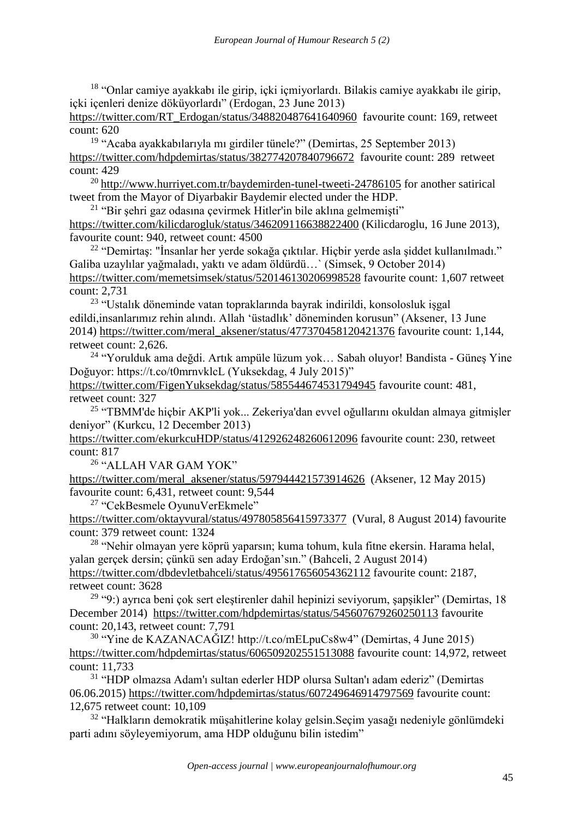<sup>18</sup> "Onlar camiye ayakkabı ile girip, içki içmiyorlardı. Bilakis camiye ayakkabı ile girip, içki içenleri denize döküyorlardı" (Erdogan, 23 June 2013)

[https://twitter.com/RT\\_Erdogan/status/348820487641640960](https://twitter.com/RT_Erdogan/status/348820487641640960) favourite count: 169, retweet count: 620

<sup>19</sup> "Acaba ayakkabılarıyla mı girdiler tünele?" (Demirtas, 25 September 2013) <https://twitter.com/hdpdemirtas/status/382774207840796672>favourite count: 289 retweet count: 429

<sup>20</sup> <http://www.hurriyet.com.tr/baydemirden-tunel-tweeti-24786105> for another satirical tweet from the Mayor of Diyarbakir Baydemir elected under the HDP.

 $21$  "Bir şehri gaz odasına çevirmek Hitler'in bile aklına gelmemişti" <https://twitter.com/kilicdarogluk/status/346209116638822400> (Kilicdaroglu, 16 June 2013), favourite count: 940, retweet count: 4500

 $22$  "Demirtas: "İnsanlar her yerde sokağa çıktılar. Hiçbir yerde asla siddet kullanılmadı." Galiba uzaylılar yağmaladı, yaktı ve adam öldürdü…` (Simsek, 9 October 2014) <https://twitter.com/memetsimsek/status/520146130206998528> favourite count: 1,607 retweet count: 2,731

<sup>23</sup> "Ustalık döneminde vatan topraklarında bayrak indirildi, konsolosluk işgal edildi,insanlarımız rehin alındı. Allah 'üstadlık' döneminden korusun" (Aksener, 13 June 2014) [https://twitter.com/meral\\_aksener/status/477370458120421376](https://twitter.com/meral_aksener/status/477370458120421376) favourite count: 1,144, retweet count: 2,626.

<sup>24</sup> "Yorulduk ama değdi. Artık ampüle lüzum yok… Sabah oluyor! Bandista - Güneş Yine Doğuyor: https://t.co/t0mrnvklcL (Yuksekdag, 4 July 2015)"

<https://twitter.com/FigenYuksekdag/status/585544674531794945> favourite count: 481, retweet count: 327

<sup>25</sup> "TBMM'de hiçbir AKP'li yok... Zekeriya'dan evvel oğullarını okuldan almaya gitmişler deniyor" (Kurkcu, 12 December 2013)

<https://twitter.com/ekurkcuHDP/status/412926248260612096> favourite count: 230, retweet count: 817

<sup>26</sup> "ALLAH VAR GAM YOK"

[https://twitter.com/meral\\_aksener/status/597944421573914626](https://twitter.com/meral_aksener/status/597944421573914626) (Aksener, 12 May 2015) favourite count: 6,431, retweet count: 9,544

<sup>27</sup> "CekBesmele OyunuVerEkmele"

<https://twitter.com/oktayvural/status/497805856415973377>(Vural, 8 August 2014) favourite count: 379 retweet count: 1324

<sup>28</sup> "Nehir olmayan yere köprü yaparsın; kuma tohum, kula fitne ekersin. Harama helal, yalan gerçek dersin; çünkü sen aday Erdoğan'sın." (Bahceli, 2 August 2014) <https://twitter.com/dbdevletbahceli/status/495617656054362112> favourite count: 2187, retweet count: 3628

 $29$  "9:) ayrıca beni çok sert eleştirenler dahil hepinizi seviyorum, şapşikler" (Demirtas, 18 December 2014) <https://twitter.com/hdpdemirtas/status/545607679260250113> favourite count: 20,143, retweet count: 7,791

<sup>30</sup> "Yine de KAZANACAĞIZ! http://t.co/mELpuCs8w4" (Demirtas, 4 June 2015) <https://twitter.com/hdpdemirtas/status/606509202551513088> favourite count: 14,972, retweet count: 11,733

<sup>31</sup> "HDP olmazsa Adam'ı sultan ederler HDP olursa Sultan'ı adam ederiz" (Demirtas 06.06.2015)<https://twitter.com/hdpdemirtas/status/607249646914797569> favourite count: 12,675 retweet count: 10,109

<sup>32</sup> "Halkların demokratik müşahitlerine kolay gelsin.Seçim yasağı nedeniyle gönlümdeki parti adını söyleyemiyorum, ama HDP olduğunu bilin istedim"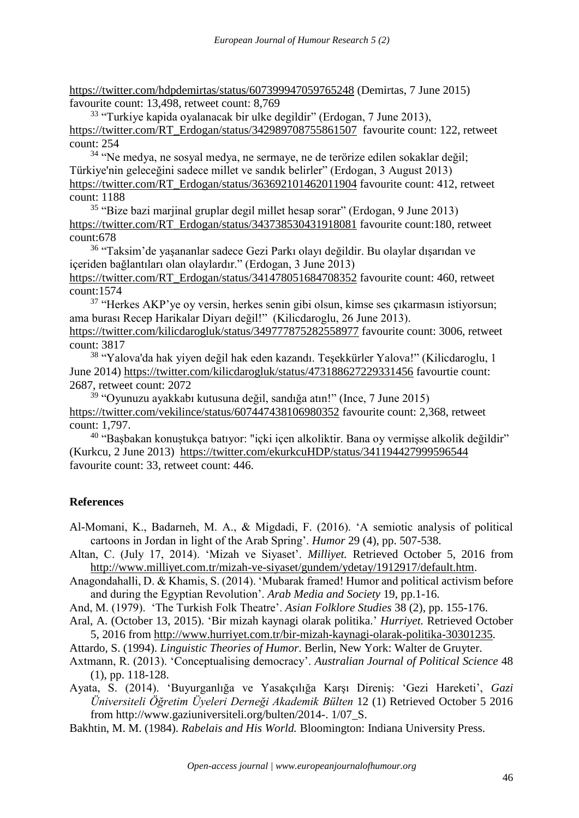<https://twitter.com/hdpdemirtas/status/607399947059765248> (Demirtas, 7 June 2015) favourite count: 13,498, retweet count: 8,769

<sup>33</sup> "Turkiye kapida oyalanacak bir ulke degildir" (Erdogan, 7 June 2013), [https://twitter.com/RT\\_Erdogan/status/342989708755861507](https://twitter.com/RT_Erdogan/status/342989708755861507) favourite count: 122, retweet count: 254

<sup>34</sup> "Ne medya, ne sosyal medya, ne sermaye, ne de terörize edilen sokaklar değil; Türkiye'nin geleceğini sadece millet ve sandık belirler" (Erdogan, 3 August 2013) [https://twitter.com/RT\\_Erdogan/status/363692101462011904](https://twitter.com/RT_Erdogan/status/363692101462011904) favourite count: 412, retweet count: 1188

<sup>35</sup> "Bize bazi marjinal gruplar degil millet hesap sorar" (Erdogan, 9 June 2013) [https://twitter.com/RT\\_Erdogan/status/343738530431918081](https://twitter.com/RT_Erdogan/status/343738530431918081) favourite count:180, retweet count:678

<sup>36</sup> "Taksim'de yaşananlar sadece Gezi Parkı olayı değildir. Bu olaylar dışarıdan ve içeriden bağlantıları olan olaylardır." (Erdogan, 3 June 2013)

[https://twitter.com/RT\\_Erdogan/status/341478051684708352](https://twitter.com/RT_Erdogan/status/341478051684708352) favourite count: 460, retweet count:1574

<sup>37</sup> "Herkes AKP'ye oy versin, herkes senin gibi olsun, kimse ses çıkarmasın istiyorsun; ama burası Recep Harikalar Diyarı değil!" (Kilicdaroglu, 26 June 2013).

<https://twitter.com/kilicdarogluk/status/349777875282558977> favourite count: 3006, retweet count: 3817

<sup>38</sup> "Yalova'da hak yiyen değil hak eden kazandı. Teşekkürler Yalova!" (Kilicdaroglu, 1 June 2014)<https://twitter.com/kilicdarogluk/status/473188627229331456> favourtie count: 2687, retweet count: 2072

<sup>39</sup> "Oyunuzu ayakkabı kutusuna değil, sandığa atın!" (Ince, 7 June 2015) <https://twitter.com/vekilince/status/607447438106980352> favourite count: 2,368, retweet count: 1,797.

<sup>40</sup> "Başbakan konuştukça batıyor: "içki içen alkoliktir. Bana oy vermişse alkolik değildir" (Kurkcu, 2 June 2013) <https://twitter.com/ekurkcuHDP/status/341194427999596544> favourite count: 33, retweet count: 446.

### **References**

- Al-Momani, K., Badarneh, M. A., & Migdadi, F. (2016). 'A semiotic analysis of political cartoons in Jordan in light of the Arab Spring'. *Humor* 29 (4), pp. 507-538.
- Altan, C. (July 17, 2014). 'Mizah ve Siyaset'. *Milliyet.* Retrieved October 5, 2016 from [http://www.milliyet.com.tr/mizah-ve-siyaset/gundem/ydetay/1912917/default.htm.](http://www.milliyet.com.tr/mizah-ve-siyaset/gundem/ydetay/1912917/default.htm)
- Anagondahalli, D. & Khamis, S. (2014). 'Mubarak framed! Humor and political activism before and during the Egyptian Revolution'. *Arab Media and Society* 19, pp.1-16.

And, M. (1979). 'The Turkish Folk Theatre'. *Asian Folklore Studies* 38 (2), pp. 155-176.

Aral, A. (October 13, 2015). 'Bir mizah kaynagi olarak politika.' *Hurriyet.* Retrieved October 5, 2016 from [http://www.hurriyet.com.tr/bir-mizah-kaynagi-olarak-politika-30301235.](http://www.hurriyet.com.tr/bir-mizah-kaynagi-olarak-politika-30301235)

Attardo, S. (1994). *Linguistic Theories of Humor*. Berlin, New York: Walter de Gruyter.

Axtmann, R. (2013). 'Conceptualising democracy'. *Australian Journal of Political Science* 48 (1), pp. 118-128.

Ayata, S. (2014). 'Buyurganlığa ve Yasakçılığa Karşı Direniş: 'Gezi Hareketi', *Gazi Üniversiteli Öğretim Üyeleri Derneği Akademik Bülten* 12 (1) Retrieved October 5 2016 from http://www.gaziuniversiteli.org/bulten/2014-. 1/07\_S.

Bakhtin, M. M. (1984). *Rabelais and His World.* Bloomington: Indiana University Press.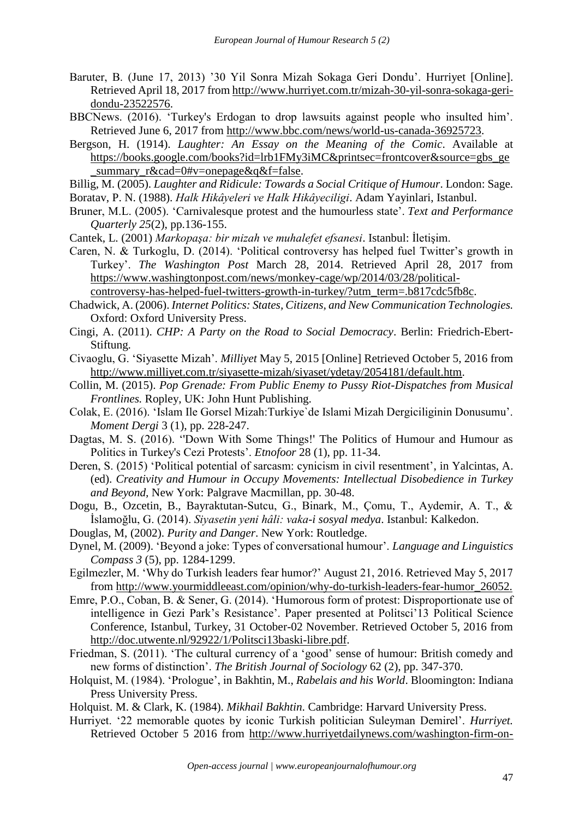- Baruter, B. (June 17, 2013) '30 Yil Sonra Mizah Sokaga Geri Dondu'. Hurriyet [Online]. Retrieved April 18, 2017 from [http://www.hurriyet.com.tr/mizah-30-yil-sonra-sokaga-geri](http://www.hurriyet.com.tr/mizah-30-yil-sonra-sokaga-geri-dondu-23522576)[dondu-23522576.](http://www.hurriyet.com.tr/mizah-30-yil-sonra-sokaga-geri-dondu-23522576)
- BBCNews. (2016). 'Turkey's Erdogan to drop lawsuits against people who insulted him'. Retrieved June 6, 2017 from [http://www.bbc.com/news/world-us-canada-36925723.](http://www.bbc.com/news/world-us-canada-36925723)
- Bergson, H. (1914). *Laughter: An Essay on the Meaning of the Comic*. Available at [https://books.google.com/books?id=lrb1FMy3iMC&printsec=frontcover&source=gbs\\_ge](https://books.google.com/books?id=lrb1FMy3iMC&printsec=frontcover&source=gbs_ge_summary_r&cad=0#v=onepage&q&f=false) summary  $r\&c\text{ad}=0\#v=onepage\&q\&f=false.$
- Billig, M. (2005). *Laughter and Ridicule: Towards a Social Critique of Humour*. London: Sage.
- Boratav, P. N. (1988). *Halk Hikâyeleri ve Halk Hikâyeciligi*. Adam Yayinlari, Istanbul.
- Bruner, M.L. (2005). 'Carnivalesque protest and the humourless state'. *Text and Performance Quarterly 25*(2), pp.136-155.
- Cantek, L. (2001) *Markopaşa: bir mizah ve muhalefet efsanesi*. Istanbul: İletişim.
- Caren, N. & Turkoglu, D. (2014). 'Political controversy has helped fuel Twitter's growth in Turkey'. *The Washington Post* March 28, 2014. Retrieved April 28, 2017 from [https://www.washingtonpost.com/news/monkey-cage/wp/2014/03/28/political-](https://www.washingtonpost.com/news/monkey-cage/wp/2014/03/28/political-controversy-has-helped-fuel-twitters-growth-in-turkey/?utm_term=.b817cdc5fb8c)

[controversy-has-helped-fuel-twitters-growth-in-turkey/?utm\\_term=.b817cdc5fb8c.](https://www.washingtonpost.com/news/monkey-cage/wp/2014/03/28/political-controversy-has-helped-fuel-twitters-growth-in-turkey/?utm_term=.b817cdc5fb8c)

- Chadwick, A. (2006). *Internet Politics: States, Citizens, and New Communication Technologies.* Oxford: Oxford University Press.
- Cingi, A. (2011). *CHP: A Party on the Road to Social Democracy*. Berlin: Friedrich-Ebert-Stiftung.
- Civaoglu, G. 'Siyasette Mizah'. *Milliyet* May 5, 2015 [Online] Retrieved October 5, 2016 from [http://www.milliyet.com.tr/siyasette-mizah/siyaset/ydetay/2054181/default.htm.](http://www.milliyet.com.tr/siyasette-mizah/siyaset/ydetay/2054181/default.htm)
- Collin, M. (2015). *Pop Grenade: From Public Enemy to Pussy Riot-Dispatches from Musical Frontlines.* Ropley, UK: John Hunt Publishing.
- Colak, E. (2016). 'Islam Ile Gorsel Mizah:Turkiye`de Islami Mizah Dergiciliginin Donusumu'. *Moment Dergi* 3 (1), pp. 228-247.
- Dagtas, M. S. (2016). ''Down With Some Things!' The Politics of Humour and Humour as Politics in Turkey's Cezi Protests'. *Etnofoor* 28 (1), pp. 11-34.
- Deren, S. (2015) 'Political potential of sarcasm: cynicism in civil resentment', in Yalcintas, A. (ed). *Creativity and Humour in Occupy Movements: Intellectual Disobedience in Turkey and Beyond,* New York: Palgrave Macmillan, pp. 30-48.
- Dogu, B., Ozcetin, B., Bayraktutan-Sutcu, G., Binark, M., Çomu, T., Aydemir, A. T., & İslamoğlu, G. (2014). *Siyasetin yeni hâli: vaka-i sosyal medya*. Istanbul: Kalkedon.
- Douglas, M, (2002). *Purity and Danger*. New York: Routledge.
- Dynel, M. (2009). 'Beyond a joke: Types of conversational humour'. *Language and Linguistics Compass 3* (5), pp. 1284-1299.
- Egilmezler, M. 'Why do Turkish leaders fear humor?' August 21, 2016. Retrieved May 5, 2017 from [http://www.yourmiddleeast.com/opinion/why-do-turkish-leaders-fear-humor\\_26052.](http://www.yourmiddleeast.com/opinion/why-do-turkish-leaders-fear-humor_26052)
- Emre, P.O., Coban, B. & Sener, G. (2014). 'Humorous form of protest: Disproportionate use of intelligence in Gezi Park's Resistance'. Paper presented at Politsci'13 Political Science Conference, Istanbul, Turkey, 31 October-02 November. Retrieved October 5, 2016 from [http://doc.utwente.nl/92922/1/Politsci13baski-libre.pdf.](http://doc.utwente.nl/92922/1/Politsci13baski-libre.pdf)
- Friedman, S. (2011). 'The cultural currency of a 'good' sense of humour: British comedy and new forms of distinction'. *The British Journal of Sociology* 62 (2), pp. 347-370.
- Holquist, M. (1984). 'Prologue', in Bakhtin, M., *Rabelais and his World*. Bloomington: Indiana Press University Press.

Holquist. M. & Clark, K. (1984). *Mikhail Bakhtin*. Cambridge: Harvard University Press.

Hurriyet. '22 memorable quotes by iconic Turkish politician Suleyman Demirel'. *Hurriyet.* Retrieved October 5 2016 from [http://www.hurriyetdailynews.com/washington-firm-on-](http://www.hurriyetdailynews.com/washington-firm-on-arms-sale-tobahrain.aspx/images/news/201201/Default.aspx?pageID=447&GalleryID=2574&gpid=10)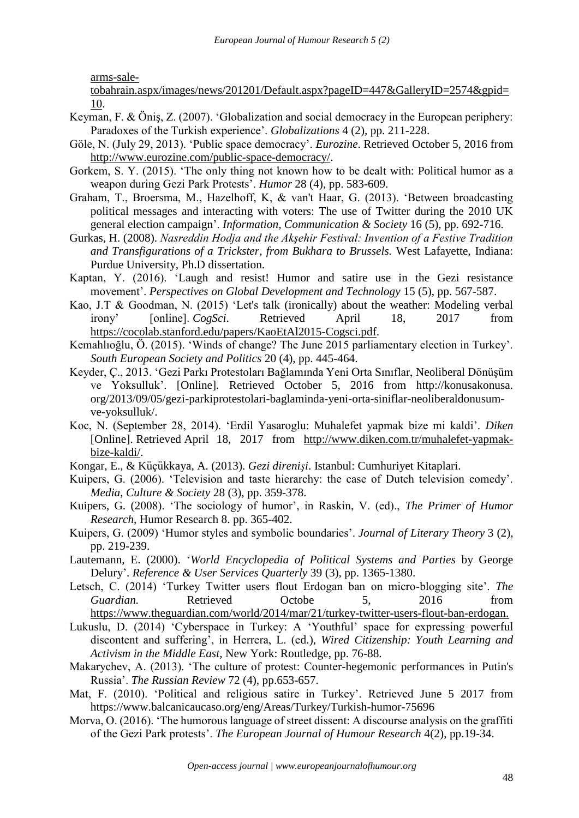[arms-sale-](http://www.hurriyetdailynews.com/washington-firm-on-arms-sale-tobahrain.aspx/images/news/201201/Default.aspx?pageID=447&GalleryID=2574&gpid=10)

[tobahrain.aspx/images/news/201201/Default.aspx?pageID=447&GalleryID=2574&gpid=](http://www.hurriyetdailynews.com/washington-firm-on-arms-sale-tobahrain.aspx/images/news/201201/Default.aspx?pageID=447&GalleryID=2574&gpid=10) [10.](http://www.hurriyetdailynews.com/washington-firm-on-arms-sale-tobahrain.aspx/images/news/201201/Default.aspx?pageID=447&GalleryID=2574&gpid=10)

- Keyman, F. & Öniş, Z. (2007). 'Globalization and social democracy in the European periphery: Paradoxes of the Turkish experience'. *Globalizations* 4 (2), pp. 211-228.
- Göle, N. (July 29, 2013). 'Public space democracy'. *Eurozine*. Retrieved October 5, 2016 from [http://www.eurozine.com/public-space-democracy/.](http://www.eurozine.com/public-space-democracy/)
- Gorkem, S. Y. (2015). 'The only thing not known how to be dealt with: Political humor as a weapon during Gezi Park Protests'. *Humor* 28 (4), pp. 583-609.
- Graham, T., Broersma, M., Hazelhoff, K, & van't Haar, G. (2013). 'Between broadcasting political messages and interacting with voters: The use of Twitter during the 2010 UK general election campaign'. *Information, Communication & Society* 16 (5), pp. 692-716.
- Gurkas, H. (2008). *Nasreddin Hodja and the Akşehir Festival: Invention of a Festive Tradition and Transfigurations of a Trickster, from Bukhara to Brussels.* West Lafayette, Indiana: Purdue University, Ph.D dissertation.
- Kaptan, Y. (2016). 'Laugh and resist! Humor and satire use in the Gezi resistance movement'. *Perspectives on Global Development and Technology* 15 (5), pp. 567-587.
- Kao, J.T & Goodman, N. (2015) 'Let's talk (ironically) about the weather: Modeling verbal irony' [online]. *CogSci*. Retrieved April 18, 2017 from [https://cocolab.stanford.edu/papers/KaoEtAl2015-Cogsci.pdf.](https://cocolab.stanford.edu/papers/KaoEtAl2015-Cogsci.pdf)
- Kemahlıoğlu, Ö. (2015). 'Winds of change? The June 2015 parliamentary election in Turkey'. *South European Society and Politics* 20 (4), pp. 445-464.
- Keyder, Ç., 2013. 'Gezi Parkı Protestoları Bağlamında Yeni Orta Sınıflar, Neoliberal Dönüşüm ve Yoksulluk'. [Online]*.* Retrieved October 5, 2016 from http://konusakonusa. org/2013/09/05/gezi-parkiprotestolari-baglaminda-yeni-orta-siniflar-neoliberaldonusumve-yoksulluk/.
- Koc, N. (September 28, 2014). 'Erdil Yasaroglu: Muhalefet yapmak bize mi kaldi'. *Diken* [Online]. Retrieved April 18, 2017 from [http://www.diken.com.tr/muhalefet-yapmak](http://www.diken.com.tr/muhalefet-yapmak-bize-kaldi/)[bize-kaldi/.](http://www.diken.com.tr/muhalefet-yapmak-bize-kaldi/)
- Kongar, E., & Küçükkaya, A. (2013). *Gezi direnişi*. Istanbul: Cumhuriyet Kitaplari.
- Kuipers, G. (2006). 'Television and taste hierarchy: the case of Dutch television comedy'. *Media, Culture & Society* 28 (3), pp. 359-378.
- Kuipers, G. (2008). 'The sociology of humor', in Raskin, V. (ed)., *The Primer of Humor Research*, Humor Research 8. pp. 365-402.
- Kuipers, G. (2009) 'Humor styles and symbolic boundaries'. *Journal of Literary Theory* 3 (2), pp. 219-239.
- Lautemann, E. (2000). '*World Encyclopedia of Political Systems and Parties* by George Delury'. *Reference & User Services Quarterly* 39 (3), pp. 1365-1380.
- Letsch, C. (2014) 'Turkey Twitter users flout Erdogan ban on micro-blogging site'. *The Guardian.* Retrieved Octobe 5, 2016 from [https://www.theguardian.com/world/2014/mar/21/turkey-twitter-users-flout-ban-erdogan.](https://www.theguardian.com/world/2014/mar/21/turkey-twitter-users-flout-ban-erdogan)
- Lukuslu, D. (2014) 'Cyberspace in Turkey: A 'Youthful' space for expressing powerful discontent and suffering', in Herrera, L. (ed.), *Wired Citizenship: Youth Learning and Activism in the Middle East*, New York: Routledge, pp. 76-88.
- Makarychev, A. (2013). 'The culture of protest: Counter-hegemonic performances in Putin's Russia'. *The Russian Review* 72 (4), pp.653-657.
- Mat, F. (2010). 'Political and religious satire in Turkey'. Retrieved June 5 2017 from https://www.balcanicaucaso.org/eng/Areas/Turkey/Turkish-humor-75696
- Morva, O. (2016). 'The humorous language of street dissent: A discourse analysis on the graffiti of the Gezi Park protests'. *The European Journal of Humour Research* 4(2), pp.19-34.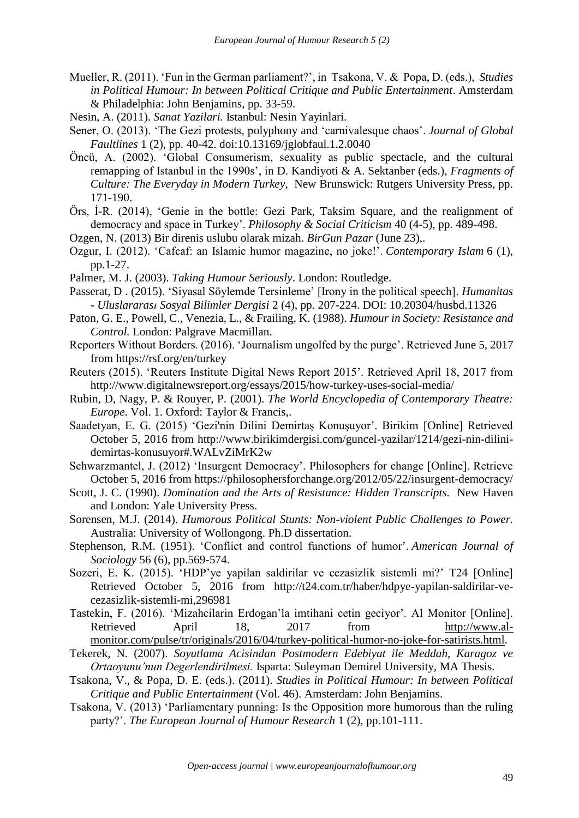- Mueller, R. (2011). 'Fun in the German parliament?', in Tsakona, V. & Popa, D. (eds.), *Studies in Political Humour: In between Political Critique and Public Entertainment*. Amsterdam & Philadelphia: John Benjamins, pp. 33-59.
- Nesin, A. (2011). *Sanat Yazilari.* Istanbul: Nesin Yayinlari.
- Sener, O. (2013). 'The Gezi protests, polyphony and 'carnivalesque chaos'. *Journal of Global Faultlines* 1 (2), pp. 40-42. doi:10.13169/jglobfaul.1.2.0040
- Öncü, A. (2002). 'Global Consumerism, sexuality as public spectacle, and the cultural remapping of Istanbul in the 1990s', in D. Kandiyoti & A. Sektanber (eds.), *Fragments of Culture: The Everyday in Modern Turkey*, New Brunswick: Rutgers University Press, pp. 171-190.
- Örs, İ-R. (2014), 'Genie in the bottle: Gezi Park, Taksim Square, and the realignment of democracy and space in Turkey'. *Philosophy & Social Criticism* 40 (4-5), pp. 489-498.
- Ozgen, N. (2013) Bir direnis uslubu olarak mizah. *BirGun Pazar* (June 23),.
- Ozgur, I. (2012). 'Cafcaf: an Islamic humor magazine, no joke!'. *Contemporary Islam* 6 (1), pp.1-27.
- Palmer, M. J. (2003). *Taking Humour Seriously*. London: Routledge.
- Passerat, D . (2015). 'Siyasal Söylemde Tersinleme' [Irony in the political speech]. *Humanitas - Uluslararası Sosyal Bilimler Dergisi* 2 (4), pp. 207-224. DOI: 10.20304/husbd.11326
- Paton, G. E., Powell, C., Venezia, L., & Frailing, K. (1988). *Humour in Society: Resistance and Control.* London: Palgrave Macmillan.
- Reporters Without Borders. (2016). 'Journalism ungolfed by the purge'. Retrieved June 5, 2017 from https://rsf.org/en/turkey
- Reuters (2015). 'Reuters Institute Digital News Report 2015'. Retrieved April 18, 2017 from http://www.digitalnewsreport.org/essays/2015/how-turkey-uses-social-media/
- Rubin, D, Nagy, P. & Rouyer, P. (2001). *The World Encyclopedia of Contemporary Theatre: Europe*. Vol. 1. Oxford: Taylor & Francis,.
- Saadetyan, E. G. (2015) 'Gezi'nin Dilini Demirtaş Konuşuyor'. Birikim [Online] Retrieved October 5, 2016 from http://www.birikimdergisi.com/guncel-yazilar/1214/gezi-nin-dilinidemirtas-konusuyor#.WALvZiMrK2w
- Schwarzmantel, J. (2012) 'Insurgent Democracy'. Philosophers for change [Online]. Retrieve October 5, 2016 from https://philosophersforchange.org/2012/05/22/insurgent-democracy/
- Scott, J. C. (1990). *Domination and the Arts of Resistance: Hidden Transcripts.* New Haven and London: Yale University Press.
- Sorensen, M.J. (2014). *Humorous Political Stunts: Non-violent Public Challenges to Power.*  Australia: University of Wollongong. Ph.D dissertation.
- Stephenson, R.M. (1951). 'Conflict and control functions of humor'. *American Journal of Sociology* 56 (6), pp.569-574.
- Sozeri, E. K. (2015). 'HDP'ye yapilan saldirilar ve cezasizlik sistemli mi?' T24 [Online] Retrieved October 5, 2016 from http://t24.com.tr/haber/hdpye-yapilan-saldirilar-vecezasizlik-sistemli-mi,296981
- Tastekin, F. (2016). 'Mizahcilarin Erdogan'la imtihani cetin geciyor'. Al Monitor [Online]. Retrieved April 18, 2017 from [http://www.al](http://www.al-monitor.com/pulse/tr/originals/2016/04/turkey-political-humor-no-joke-for-satirists.html)[monitor.com/pulse/tr/originals/2016/04/turkey-political-humor-no-joke-for-satirists.html.](http://www.al-monitor.com/pulse/tr/originals/2016/04/turkey-political-humor-no-joke-for-satirists.html)
- Tekerek, N. (2007). *Soyutlama Acisindan Postmodern Edebiyat ile Meddah, Karagoz ve Ortaoyunu'nun Degerlendirilmesi.* Isparta: Suleyman Demirel University, MA Thesis.
- Tsakona, V., & Popa, D. E. (eds.). (2011). *Studies in Political Humour: In between Political Critique and Public Entertainment* (Vol. 46). Amsterdam: John Benjamins.
- Tsakona, V. (2013) 'Parliamentary punning: Is the Opposition more humorous than the ruling party?'. *The European Journal of Humour Research* 1 (2), pp.101-111.